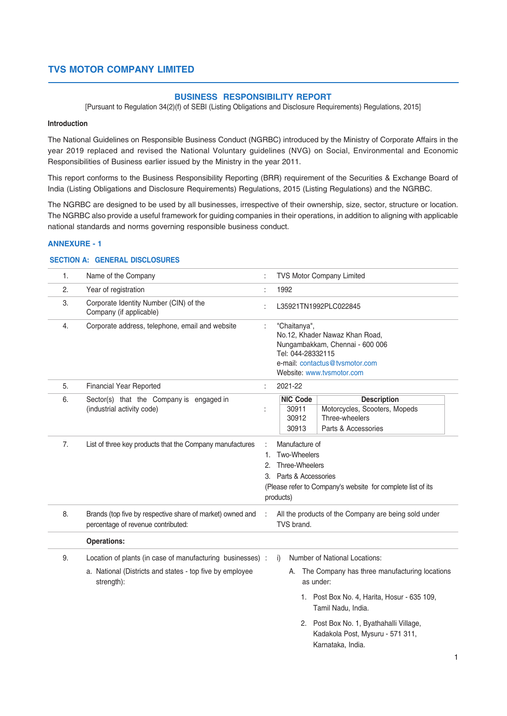#### **BUSINESS RESPONSIBILITY REPORT**

[Pursuant to Regulation 34(2)(f) of SEBI (Listing Obligations and Disclosure Requirements) Regulations, 2015]

#### **Introduction**

The National Guidelines on Responsible Business Conduct (NGRBC) introduced by the Ministry of Corporate Affairs in the year 2019 replaced and revised the National Voluntary guidelines (NVG) on Social, Environmental and Economic Responsibilities of Business earlier issued by the Ministry in the year 2011.

This report conforms to the Business Responsibility Reporting (BRR) requirement of the Securities & Exchange Board of India (Listing Obligations and Disclosure Requirements) Regulations, 2015 (Listing Regulations) and the NGRBC.

The NGRBC are designed to be used by all businesses, irrespective of their ownership, size, sector, structure or location. The NGRBC also provide a useful framework for guiding companies in their operations, in addition to aligning with applicable national standards and norms governing responsible business conduct.

#### **ANNEXURE - 1**

#### **SECTION A: GENERAL DISCLOSURES**

| 1. | Name of the Company                                                                                                                  |          | <b>TVS Motor Company Limited</b>                                                                                                                                                                                                                                              |  |  |
|----|--------------------------------------------------------------------------------------------------------------------------------------|----------|-------------------------------------------------------------------------------------------------------------------------------------------------------------------------------------------------------------------------------------------------------------------------------|--|--|
| 2. | Year of registration                                                                                                                 |          | 1992                                                                                                                                                                                                                                                                          |  |  |
| 3. | Corporate Identity Number (CIN) of the<br>Company (if applicable)                                                                    |          | L35921TN1992PLC022845                                                                                                                                                                                                                                                         |  |  |
| 4. | Corporate address, telephone, email and website                                                                                      |          | "Chaitanya",<br>No.12, Khader Nawaz Khan Road,<br>Nungambakkam, Chennai - 600 006<br>Tel: 044-28332115<br>e-mail: contactus@tvsmotor.com<br>Website: www.tvsmotor.com                                                                                                         |  |  |
| 5. | Financial Year Reported                                                                                                              | ÷        | 2021-22                                                                                                                                                                                                                                                                       |  |  |
| 6. | Sector(s) that the Company is engaged in<br>(industrial activity code)                                                               |          | <b>NIC Code</b><br><b>Description</b><br>Motorcycles, Scooters, Mopeds<br>30911<br>Three-wheelers<br>30912<br>Parts & Accessories<br>30913                                                                                                                                    |  |  |
| 7. | List of three key products that the Company manufactures                                                                             | 1.<br>2. | Manufacture of<br>Two-Wheelers<br>Three-Wheelers<br>3. Parts & Accessories<br>(Please refer to Company's website for complete list of its<br>products)                                                                                                                        |  |  |
| 8. | Brands (top five by respective share of market) owned and<br>percentage of revenue contributed:                                      | ÷        | All the products of the Company are being sold under<br>TVS brand.                                                                                                                                                                                                            |  |  |
|    | <b>Operations:</b>                                                                                                                   |          |                                                                                                                                                                                                                                                                               |  |  |
| 9. | Location of plants (in case of manufacturing businesses) :<br>a. National (Districts and states - top five by employee<br>strength): |          | Number of National Locations:<br>i)<br>A. The Company has three manufacturing locations<br>as under:<br>1. Post Box No. 4, Harita, Hosur - 635 109,<br>Tamil Nadu, India.<br>2. Post Box No. 1, Byathahalli Village,<br>Kadakola Post, Mysuru - 571 311,<br>Karnataka, India. |  |  |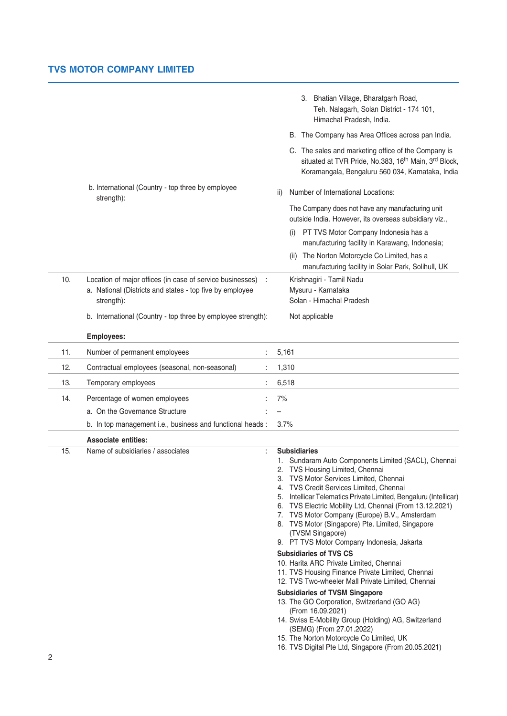|     |                                                                                                                                     |       | 3. Bhatian Village, Bharatgarh Road,<br>Teh. Nalagarh, Solan District - 174 101,<br>Himachal Pradesh, India.                                                                                                                                                                                                                                                                                                                                                                                                                                                                                                                                                                                                                                                                                                                                                                                                                                                                                    |
|-----|-------------------------------------------------------------------------------------------------------------------------------------|-------|-------------------------------------------------------------------------------------------------------------------------------------------------------------------------------------------------------------------------------------------------------------------------------------------------------------------------------------------------------------------------------------------------------------------------------------------------------------------------------------------------------------------------------------------------------------------------------------------------------------------------------------------------------------------------------------------------------------------------------------------------------------------------------------------------------------------------------------------------------------------------------------------------------------------------------------------------------------------------------------------------|
|     |                                                                                                                                     |       | B. The Company has Area Offices across pan India.                                                                                                                                                                                                                                                                                                                                                                                                                                                                                                                                                                                                                                                                                                                                                                                                                                                                                                                                               |
|     |                                                                                                                                     |       | C. The sales and marketing office of the Company is<br>situated at TVR Pride, No.383, 16 <sup>th</sup> Main, 3 <sup>rd</sup> Block,<br>Koramangala, Bengaluru 560 034, Karnataka, India                                                                                                                                                                                                                                                                                                                                                                                                                                                                                                                                                                                                                                                                                                                                                                                                         |
|     | b. International (Country - top three by employee<br>strength):                                                                     | ii)   | Number of International Locations:                                                                                                                                                                                                                                                                                                                                                                                                                                                                                                                                                                                                                                                                                                                                                                                                                                                                                                                                                              |
|     |                                                                                                                                     |       | The Company does not have any manufacturing unit<br>outside India. However, its overseas subsidiary viz.,                                                                                                                                                                                                                                                                                                                                                                                                                                                                                                                                                                                                                                                                                                                                                                                                                                                                                       |
|     |                                                                                                                                     | (i)   | PT TVS Motor Company Indonesia has a<br>manufacturing facility in Karawang, Indonesia;                                                                                                                                                                                                                                                                                                                                                                                                                                                                                                                                                                                                                                                                                                                                                                                                                                                                                                          |
|     |                                                                                                                                     | (ii)  | The Norton Motorcycle Co Limited, has a<br>manufacturing facility in Solar Park, Solihull, UK                                                                                                                                                                                                                                                                                                                                                                                                                                                                                                                                                                                                                                                                                                                                                                                                                                                                                                   |
| 10. | Location of major offices (in case of service businesses)<br>a. National (Districts and states - top five by employee<br>strength): |       | Krishnagiri - Tamil Nadu<br>Mysuru - Karnataka<br>Solan - Himachal Pradesh                                                                                                                                                                                                                                                                                                                                                                                                                                                                                                                                                                                                                                                                                                                                                                                                                                                                                                                      |
|     | b. International (Country - top three by employee strength):                                                                        |       | Not applicable                                                                                                                                                                                                                                                                                                                                                                                                                                                                                                                                                                                                                                                                                                                                                                                                                                                                                                                                                                                  |
|     | <b>Employees:</b>                                                                                                                   |       |                                                                                                                                                                                                                                                                                                                                                                                                                                                                                                                                                                                                                                                                                                                                                                                                                                                                                                                                                                                                 |
| 11. | Number of permanent employees                                                                                                       | 5,161 |                                                                                                                                                                                                                                                                                                                                                                                                                                                                                                                                                                                                                                                                                                                                                                                                                                                                                                                                                                                                 |
| 12. | Contractual employees (seasonal, non-seasonal)                                                                                      | 1,310 |                                                                                                                                                                                                                                                                                                                                                                                                                                                                                                                                                                                                                                                                                                                                                                                                                                                                                                                                                                                                 |
| 13. | Temporary employees                                                                                                                 | 6,518 |                                                                                                                                                                                                                                                                                                                                                                                                                                                                                                                                                                                                                                                                                                                                                                                                                                                                                                                                                                                                 |
| 14. | Percentage of women employees                                                                                                       | 7%    |                                                                                                                                                                                                                                                                                                                                                                                                                                                                                                                                                                                                                                                                                                                                                                                                                                                                                                                                                                                                 |
|     | a. On the Governance Structure                                                                                                      |       |                                                                                                                                                                                                                                                                                                                                                                                                                                                                                                                                                                                                                                                                                                                                                                                                                                                                                                                                                                                                 |
|     | b. In top management i.e., business and functional heads :                                                                          | 3.7%  |                                                                                                                                                                                                                                                                                                                                                                                                                                                                                                                                                                                                                                                                                                                                                                                                                                                                                                                                                                                                 |
|     | <b>Associate entities:</b>                                                                                                          |       |                                                                                                                                                                                                                                                                                                                                                                                                                                                                                                                                                                                                                                                                                                                                                                                                                                                                                                                                                                                                 |
| 15. | Name of subsidiaries / associates                                                                                                   | 7.    | <b>Subsidiaries</b><br>1. Sundaram Auto Components Limited (SACL), Chennai<br>2. TVS Housing Limited, Chennai<br>3. TVS Motor Services Limited, Chennai<br>4. TVS Credit Services Limited, Chennai<br>5. Intellicar Telematics Private Limited, Bengaluru (Intellicar)<br>6. TVS Electric Mobility Ltd, Chennai (From 13.12.2021)<br>TVS Motor Company (Europe) B.V., Amsterdam<br>8. TVS Motor (Singapore) Pte. Limited, Singapore<br>(TVSM Singapore)<br>9. PT TVS Motor Company Indonesia, Jakarta<br><b>Subsidiaries of TVS CS</b><br>10. Harita ARC Private Limited, Chennai<br>11. TVS Housing Finance Private Limited, Chennai<br>12. TVS Two-wheeler Mall Private Limited, Chennai<br><b>Subsidiaries of TVSM Singapore</b><br>13. The GO Corporation, Switzerland (GO AG)<br>(From 16.09.2021)<br>14. Swiss E-Mobility Group (Holding) AG, Switzerland<br>(SEMG) (From 27.01.2022)<br>15. The Norton Motorcycle Co Limited, UK<br>16. TVS Digital Pte Ltd, Singapore (From 20.05.2021) |
| 2   |                                                                                                                                     |       |                                                                                                                                                                                                                                                                                                                                                                                                                                                                                                                                                                                                                                                                                                                                                                                                                                                                                                                                                                                                 |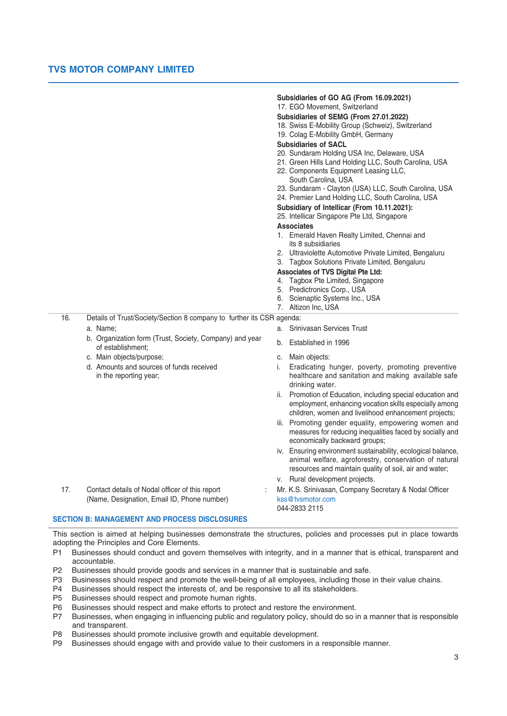#### **Subsidiaries of GO AG (From 16.09.2021)** 17. EGO Movement, Switzerland

- **Subsidiaries of SEMG (From 27.01.2022)**
- 18. Swiss E-Mobility Group (Schweiz), Switzerland
- 19. Colag E-Mobility GmbH, Germany

### **Subsidiaries of SACL**

- 20. Sundaram Holding USA Inc, Delaware, USA
- 21. Green Hills Land Holding LLC, South Carolina, USA
- 22. Components Equipment Leasing LLC, South Carolina, USA
- 23. Sundaram Clayton (USA) LLC, South Carolina, USA
- 24. Premier Land Holding LLC, South Carolina, USA

# **Subsidiary of Intellicar (From 10.11.2021):**

#### 25. Intellicar Singapore Pte Ltd, Singapore **Associates**

- 1. Emerald Haven Realty Limited, Chennai and its 8 subsidiaries
- 2. Ultraviolette Automotive Private Limited, Bengaluru
- 3. Tagbox Solutions Private Limited, Bengaluru

#### **Associates of TVS Digital Pte Ltd:**

- 4. Tagbox Pte Limited, Singapore
- 5. Predictronics Corp., USA
- 6. Scienaptic Systems Inc., USA
- 7. Altizon Inc, USA

16. Details of Trust/Society/Section 8 company to further its CSR agenda:

#### a. Name; and the state of the state of the state of the state of the state of the state of the state of the state of the state of the state of the state of the state of the state of the state of the state of the state of t

- b. Organization form (Trust, Society, Company) and year . Organization form (Trust, Society, Company) and year b. Established in 1996<br>of establishment:
- c. Main objects/purpose; c. Main objects:
- 
- 
- 
- d. Amounts and sources of funds received i. Eradicating hunger, poverty, promoting preventive in the reporting year; healthcare and sanitation and making available safe drinking water.
	- ii. Promotion of Education, including special education and employment, enhancing vocation skills especially among children, women and livelihood enhancement projects;
	- iii. Promoting gender equality, empowering women and measures for reducing inequalities faced by socially and economically backward groups;
	- iv. Ensuring environment sustainability, ecological balance, animal welfare, agroforestry, conservation of natural resources and maintain quality of soil, air and water;
	- v. Rural development projects.
- 17. Contact details of Nodal officer of this report : Mr. K.S. Srinivasan, Company Secretary & Nodal Officer (Name, Designation, Email ID, Phone number) kss@tvsmotor.com 044-2833 2115

# **SECTION B: MANAGEMENT AND PROCESS DISCLOSURES**

This section is aimed at helping businesses demonstrate the structures, policies and processes put in place towards adopting the Principles and Core Elements.

- P1 Businesses should conduct and govern themselves with integrity, and in a manner that is ethical, transparent and accountable.
- P2 Businesses should provide goods and services in a manner that is sustainable and safe.
- P3 Businesses should respect and promote the well-being of all employees, including those in their value chains.
- P4 Businesses should respect the interests of, and be responsive to all its stakeholders.
- P5 Businesses should respect and promote human rights.
- P6 Businesses should respect and make efforts to protect and restore the environment.
- P7 Businesses, when engaging in influencing public and regulatory policy, should do so in a manner that is responsible and transparent.
- P8 Businesses should promote inclusive growth and equitable development.
- P9 Businesses should engage with and provide value to their customers in a responsible manner.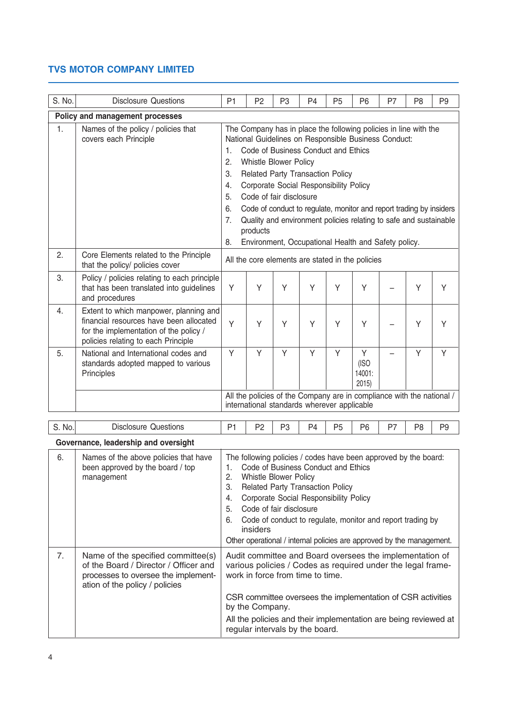| S. No.                          | <b>Disclosure Questions</b>                                                                                                                                        | P <sub>1</sub>                                                                                                                                                                                                                                                                                                                                                                                                                                                                                                                                                                             | P <sub>2</sub> | P <sub>3</sub> | P <sub>4</sub> | P <sub>5</sub> | P <sub>6</sub>               | P7 | P <sub>8</sub> | P <sub>9</sub> |
|---------------------------------|--------------------------------------------------------------------------------------------------------------------------------------------------------------------|--------------------------------------------------------------------------------------------------------------------------------------------------------------------------------------------------------------------------------------------------------------------------------------------------------------------------------------------------------------------------------------------------------------------------------------------------------------------------------------------------------------------------------------------------------------------------------------------|----------------|----------------|----------------|----------------|------------------------------|----|----------------|----------------|
| Policy and management processes |                                                                                                                                                                    |                                                                                                                                                                                                                                                                                                                                                                                                                                                                                                                                                                                            |                |                |                |                |                              |    |                |                |
| 1.                              | Names of the policy / policies that<br>covers each Principle                                                                                                       | The Company has in place the following policies in line with the<br>National Guidelines on Responsible Business Conduct:<br>Code of Business Conduct and Ethics<br>$\mathbf{1}$ .<br>2.<br><b>Whistle Blower Policy</b><br>3.<br><b>Related Party Transaction Policy</b><br>Corporate Social Responsibility Policy<br>4.<br>Code of fair disclosure<br>5.<br>6.<br>Code of conduct to regulate, monitor and report trading by insiders<br>7.<br>Quality and environment policies relating to safe and sustainable<br>products<br>Environment, Occupational Health and Safety policy.<br>8. |                |                |                |                |                              |    |                |                |
| 2.                              | Core Elements related to the Principle<br>that the policy/ policies cover                                                                                          | All the core elements are stated in the policies                                                                                                                                                                                                                                                                                                                                                                                                                                                                                                                                           |                |                |                |                |                              |    |                |                |
| 3.                              | Policy / policies relating to each principle<br>that has been translated into guidelines<br>and procedures                                                         | Y                                                                                                                                                                                                                                                                                                                                                                                                                                                                                                                                                                                          | Y              | Υ              | Y              | Y              | Υ                            |    | Y              | Y              |
| 4.                              | Extent to which manpower, planning and<br>financial resources have been allocated<br>for the implementation of the policy /<br>policies relating to each Principle | Y                                                                                                                                                                                                                                                                                                                                                                                                                                                                                                                                                                                          | Y              | Υ              | Y              | Y              | Υ                            |    | Y              | Y              |
| 5.                              | National and International codes and<br>standards adopted mapped to various<br>Principles                                                                          | Y                                                                                                                                                                                                                                                                                                                                                                                                                                                                                                                                                                                          | Y              | Y              | Y              | Y              | Y<br>(ISO)<br>14001:<br>2015 |    | Y              | Y              |
|                                 |                                                                                                                                                                    | All the policies of the Company are in compliance with the national /<br>international standards wherever applicable                                                                                                                                                                                                                                                                                                                                                                                                                                                                       |                |                |                |                |                              |    |                |                |
| S. No.                          | <b>Disclosure Questions</b>                                                                                                                                        | P1                                                                                                                                                                                                                                                                                                                                                                                                                                                                                                                                                                                         | P <sub>2</sub> | P <sub>3</sub> | P <sub>4</sub> | P <sub>5</sub> | P <sub>6</sub>               | P7 | P <sub>8</sub> | P <sub>9</sub> |

|  | Governance, leadership and oversight |  |
|--|--------------------------------------|--|
|  |                                      |  |

| 6. | Names of the above policies that have<br>been approved by the board / top<br>management                                                              | The following policies / codes have been approved by the board:<br>Code of Business Conduct and Ethics<br><b>Whistle Blower Policy</b><br>2.<br><b>Related Party Transaction Policy</b><br>3.<br>Corporate Social Responsibility Policy<br>4.<br>Code of fair disclosure<br>5<br>Code of conduct to regulate, monitor and report trading by<br>6.<br>insiders<br>Other operational / internal policies are approved by the management. |
|----|------------------------------------------------------------------------------------------------------------------------------------------------------|----------------------------------------------------------------------------------------------------------------------------------------------------------------------------------------------------------------------------------------------------------------------------------------------------------------------------------------------------------------------------------------------------------------------------------------|
| 7. | Name of the specified committee(s)<br>of the Board / Director / Officer and<br>processes to oversee the implement-<br>ation of the policy / policies | Audit committee and Board oversees the implementation of<br>various policies / Codes as required under the legal frame-<br>work in force from time to time.<br>CSR committee oversees the implementation of CSR activities<br>by the Company.<br>All the policies and their implementation are being reviewed at                                                                                                                       |
|    |                                                                                                                                                      | regular intervals by the board.                                                                                                                                                                                                                                                                                                                                                                                                        |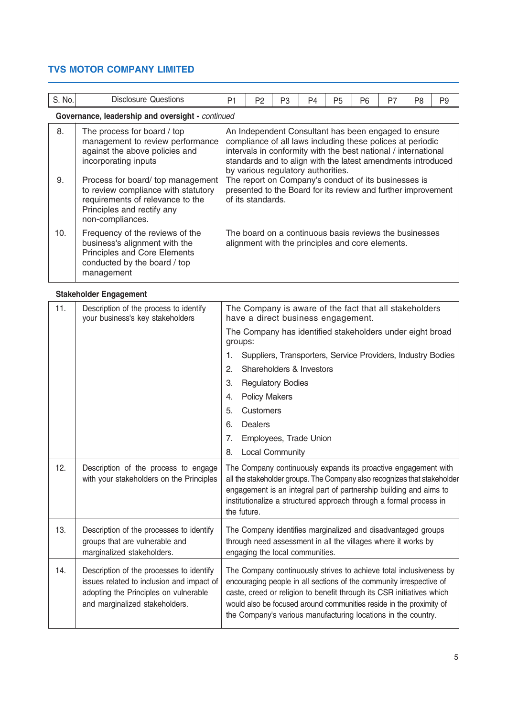| S. No.   | Disclosure Questions                                                                                                                                                                                                                     | P <sub>1</sub>                                                                                                                                                                                                                                                                                                                                                                                                                           | P <sub>2</sub> | P <sub>3</sub> | P <sub>4</sub> | P <sub>5</sub> | P <sub>6</sub> | P7 | P <sub>8</sub> | P <sub>9</sub> |
|----------|------------------------------------------------------------------------------------------------------------------------------------------------------------------------------------------------------------------------------------------|------------------------------------------------------------------------------------------------------------------------------------------------------------------------------------------------------------------------------------------------------------------------------------------------------------------------------------------------------------------------------------------------------------------------------------------|----------------|----------------|----------------|----------------|----------------|----|----------------|----------------|
|          | Governance, leadership and oversight - continued                                                                                                                                                                                         |                                                                                                                                                                                                                                                                                                                                                                                                                                          |                |                |                |                |                |    |                |                |
| 8.<br>9. | The process for board / top<br>management to review performance<br>against the above policies and<br>incorporating inputs<br>Process for board/top management<br>to review compliance with statutory<br>requirements of relevance to the | An Independent Consultant has been engaged to ensure<br>compliance of all laws including these polices at periodic<br>intervals in conformity with the best national / international<br>standards and to align with the latest amendments introduced<br>by various regulatory authorities.<br>The report on Company's conduct of its businesses is<br>presented to the Board for its review and further improvement<br>of its standards. |                |                |                |                |                |    |                |                |
|          | Principles and rectify any<br>non-compliances.                                                                                                                                                                                           |                                                                                                                                                                                                                                                                                                                                                                                                                                          |                |                |                |                |                |    |                |                |
| 10.      | Frequency of the reviews of the<br>business's alignment with the<br><b>Principles and Core Elements</b><br>conducted by the board / top<br>management                                                                                    | The board on a continuous basis reviews the businesses<br>alignment with the principles and core elements.                                                                                                                                                                                                                                                                                                                               |                |                |                |                |                |    |                |                |

# **Stakeholder Engagement**

| 11. | Description of the process to identify<br>your business's key stakeholders                                                                                       | The Company is aware of the fact that all stakeholders<br>have a direct business engagement.                                                                                                                                                                                                                                                               |  |  |
|-----|------------------------------------------------------------------------------------------------------------------------------------------------------------------|------------------------------------------------------------------------------------------------------------------------------------------------------------------------------------------------------------------------------------------------------------------------------------------------------------------------------------------------------------|--|--|
|     |                                                                                                                                                                  | The Company has identified stakeholders under eight broad<br>groups:                                                                                                                                                                                                                                                                                       |  |  |
|     |                                                                                                                                                                  | Suppliers, Transporters, Service Providers, Industry Bodies<br>1.                                                                                                                                                                                                                                                                                          |  |  |
|     |                                                                                                                                                                  | Shareholders & Investors<br>2.                                                                                                                                                                                                                                                                                                                             |  |  |
|     |                                                                                                                                                                  | 3.<br><b>Regulatory Bodies</b>                                                                                                                                                                                                                                                                                                                             |  |  |
|     |                                                                                                                                                                  | <b>Policy Makers</b><br>4.                                                                                                                                                                                                                                                                                                                                 |  |  |
|     |                                                                                                                                                                  | 5.<br>Customers                                                                                                                                                                                                                                                                                                                                            |  |  |
|     |                                                                                                                                                                  | 6.<br>Dealers                                                                                                                                                                                                                                                                                                                                              |  |  |
|     |                                                                                                                                                                  | 7.<br>Employees, Trade Union                                                                                                                                                                                                                                                                                                                               |  |  |
|     |                                                                                                                                                                  | <b>Local Community</b><br>8.                                                                                                                                                                                                                                                                                                                               |  |  |
| 12. | Description of the process to engage<br>with your stakeholders on the Principles                                                                                 | The Company continuously expands its proactive engagement with<br>all the stakeholder groups. The Company also recognizes that stakeholder<br>engagement is an integral part of partnership building and aims to<br>institutionalize a structured approach through a formal process in<br>the future.                                                      |  |  |
| 13. | Description of the processes to identify<br>groups that are vulnerable and<br>marginalized stakeholders.                                                         | The Company identifies marginalized and disadvantaged groups<br>through need assessment in all the villages where it works by<br>engaging the local communities.                                                                                                                                                                                           |  |  |
| 14. | Description of the processes to identify<br>issues related to inclusion and impact of<br>adopting the Principles on vulnerable<br>and marginalized stakeholders. | The Company continuously strives to achieve total inclusiveness by<br>encouraging people in all sections of the community irrespective of<br>caste, creed or religion to benefit through its CSR initiatives which<br>would also be focused around communities reside in the proximity of<br>the Company's various manufacturing locations in the country. |  |  |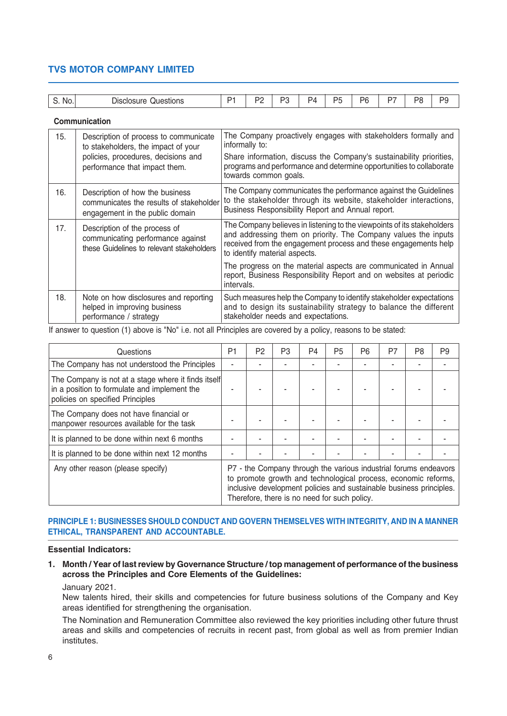|        |                                                                                                               | P1                                                                                                                                                                                        | P <sub>2</sub> | P3 | P4 | P <sub>5</sub> | P <sub>6</sub> | P7                                                                      | P8 | P9 |
|--------|---------------------------------------------------------------------------------------------------------------|-------------------------------------------------------------------------------------------------------------------------------------------------------------------------------------------|----------------|----|----|----------------|----------------|-------------------------------------------------------------------------|----|----|
| S. No. | <b>Disclosure Questions</b>                                                                                   |                                                                                                                                                                                           |                |    |    |                |                |                                                                         |    |    |
|        | Communication                                                                                                 |                                                                                                                                                                                           |                |    |    |                |                |                                                                         |    |    |
| 15.    | Description of process to communicate<br>to stakeholders, the impact of your                                  |                                                                                                                                                                                           | informally to: |    |    |                |                | The Company proactively engages with stakeholders formally and          |    |    |
|        | policies, procedures, decisions and<br>performance that impact them.                                          | Share information, discuss the Company's sustainability priorities,<br>programs and performance and determine opportunities to collaborate<br>towards common goals.                       |                |    |    |                |                |                                                                         |    |    |
| 16.    | Description of how the business<br>communicates the results of stakeholder<br>engagement in the public domain | The Company communicates the performance against the Guidelines<br>to the stakeholder through its website, stakeholder interactions,<br>Business Responsibility Report and Annual report. |                |    |    |                |                |                                                                         |    |    |
| 17     | Decorintion of the process of                                                                                 |                                                                                                                                                                                           |                |    |    |                |                | The Company believes in listening to the viewpoints of its stakeholders |    |    |

Description of the process of communicating performance against these Guidelines to relevant stakeholders 18. Note on how disclosures and reporting helped in improving business performance / strategy and addressing them on priority. The Company values the inputs received from the engagement process and these engagements help to identify material aspects. The progress on the material aspects are communicated in Annual report. Business Responsibility Report and on websites at periodic intervals. Such measures help the Company to identify stakeholder expectations and to design its sustainability strategy to balance the different stakeholder needs and expectations.

If answer to question (1) above is "No" i.e. not all Principles are covered by a policy, reasons to be stated:

| Questions                                                                                                                               | P1                                                                                                                                                                                                                                                        | P2 | P <sub>3</sub> | P4 | P <sub>5</sub> | P <sub>6</sub> | P7 | P <sub>8</sub> | P <sub>9</sub> |
|-----------------------------------------------------------------------------------------------------------------------------------------|-----------------------------------------------------------------------------------------------------------------------------------------------------------------------------------------------------------------------------------------------------------|----|----------------|----|----------------|----------------|----|----------------|----------------|
| The Company has not understood the Principles                                                                                           |                                                                                                                                                                                                                                                           |    |                |    |                |                |    |                |                |
| The Company is not at a stage where it finds itself<br>in a position to formulate and implement the<br>policies on specified Principles |                                                                                                                                                                                                                                                           |    |                |    |                |                |    |                |                |
| The Company does not have financial or<br>manpower resources available for the task                                                     |                                                                                                                                                                                                                                                           |    |                |    |                |                |    |                |                |
| It is planned to be done within next 6 months                                                                                           |                                                                                                                                                                                                                                                           |    |                |    |                |                |    |                |                |
| It is planned to be done within next 12 months                                                                                          |                                                                                                                                                                                                                                                           |    |                |    |                |                |    |                |                |
| Any other reason (please specify)                                                                                                       | P7 - the Company through the various industrial forums endeavors<br>to promote growth and technological process, economic reforms,<br>inclusive development policies and sustainable business principles.<br>Therefore, there is no need for such policy. |    |                |    |                |                |    |                |                |

## **PRINCIPLE 1: BUSINESSES SHOULD CONDUCT AND GOVERN THEMSELVES WITH INTEGRITY, AND IN A MANNER ETHICAL, TRANSPARENT AND ACCOUNTABLE.**

#### **Essential Indicators:**

# **1. Month / Year of last review by Governance Structure / top management of performance of the business across the Principles and Core Elements of the Guidelines:**

January 2021.

New talents hired, their skills and competencies for future business solutions of the Company and Key areas identified for strengthening the organisation.

The Nomination and Remuneration Committee also reviewed the key priorities including other future thrust areas and skills and competencies of recruits in recent past, from global as well as from premier Indian institutes.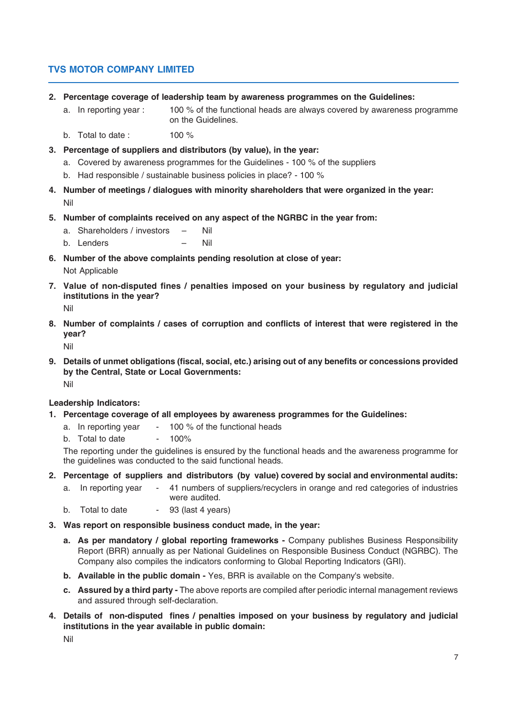- **2. Percentage coverage of leadership team by awareness programmes on the Guidelines:**
	- a. In reporting year : 100 % of the functional heads are always covered by awareness programme on the Guidelines.
	- b. Total to date :  $100\%$
- **3. Percentage of suppliers and distributors (by value), in the year:**
	- a. Covered by awareness programmes for the Guidelines 100 % of the suppliers
	- b. Had responsible / sustainable business policies in place? 100 %
- **4. Number of meetings / dialogues with minority shareholders that were organized in the year:** Nil
- **5. Number of complaints received on any aspect of the NGRBC in the year from:**
	- a. Shareholders / investors Nil
	- b. Lenders Nil
- **6. Number of the above complaints pending resolution at close of year:** Not Applicable
- **7. Value of non-disputed fines / penalties imposed on your business by regulatory and judicial institutions in the year?**

Nil

**8. Number of complaints / cases of corruption and conflicts of interest that were registered in the year?**

Nil

**9. Details of unmet obligations (fiscal, social, etc.) arising out of any benefits or concessions provided by the Central, State or Local Governments:** Nil

**Leadership Indicators:**

- **1. Percentage coverage of all employees by awareness programmes for the Guidelines:**
	- a. In reporting year  $-100\%$  of the functional heads
		- b. Total to date  $-100\%$

The reporting under the guidelines is ensured by the functional heads and the awareness programme for the guidelines was conducted to the said functional heads.

- **2. Percentage of suppliers and distributors (by value) covered by social and environmental audits:**
	- a. In reporting year 41 numbers of suppliers/recyclers in orange and red categories of industries were audited.
	- b. Total to date  $-$  93 (last 4 years)
- **3. Was report on responsible business conduct made, in the year:**
	- **a. As per mandatory / global reporting frameworks -** Company publishes Business Responsibility Report (BRR) annually as per National Guidelines on Responsible Business Conduct (NGRBC). The Company also compiles the indicators conforming to Global Reporting Indicators (GRI).
	- **b. Available in the public domain -** Yes, BRR is available on the Company's website.
	- **c. Assured by a third party -** The above reports are compiled after periodic internal management reviews and assured through self-declaration.
- **4. Details of non-disputed fines / penalties imposed on your business by regulatory and judicial institutions in the year available in public domain:**

Nil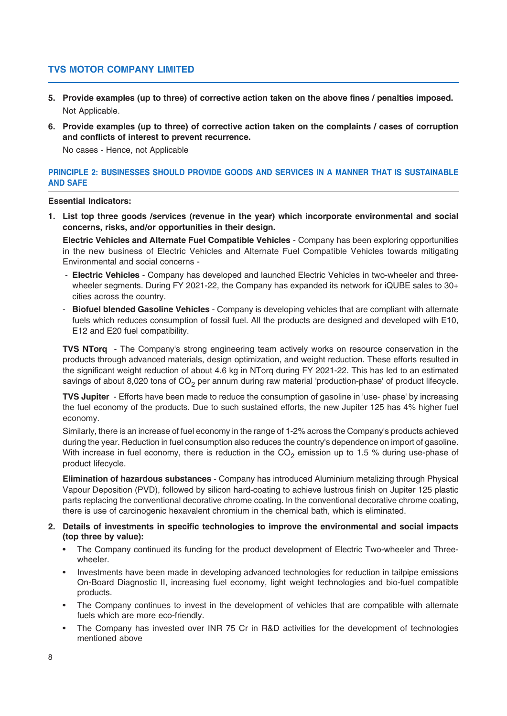- **5. Provide examples (up to three) of corrective action taken on the above fines / penalties imposed.** Not Applicable.
- **6. Provide examples (up to three) of corrective action taken on the complaints / cases of corruption and conflicts of interest to prevent recurrence.** No cases - Hence, not Applicable

# **PRINCIPLE 2: BUSINESSES SHOULD PROVIDE GOODS AND SERVICES IN A MANNER THAT IS SUSTAINABLE AND SAFE**

## **Essential Indicators:**

**1. List top three goods /services (revenue in the year) which incorporate environmental and social concerns, risks, and/or opportunities in their design.**

**Electric Vehicles and Alternate Fuel Compatible Vehicles** - Company has been exploring opportunities in the new business of Electric Vehicles and Alternate Fuel Compatible Vehicles towards mitigating Environmental and social concerns -

- **Electric Vehicles**  Company has developed and launched Electric Vehicles in two-wheeler and threewheeler segments. During FY 2021-22, the Company has expanded its network for iQUBE sales to 30+ cities across the country.
- **Biofuel blended Gasoline Vehicles** Company is developing vehicles that are compliant with alternate fuels which reduces consumption of fossil fuel. All the products are designed and developed with E10, E12 and E20 fuel compatibility.

**TVS NTorq** - The Company's strong engineering team actively works on resource conservation in the products through advanced materials, design optimization, and weight reduction. These efforts resulted in the significant weight reduction of about 4.6 kg in NTorq during FY 2021-22. This has led to an estimated savings of about 8,020 tons of  $CO<sub>2</sub>$  per annum during raw material 'production-phase' of product lifecycle.

**TVS Jupiter** - Efforts have been made to reduce the consumption of gasoline in 'use- phase' by increasing the fuel economy of the products. Due to such sustained efforts, the new Jupiter 125 has 4% higher fuel economy.

Similarly, there is an increase of fuel economy in the range of 1-2% across the Company's products achieved during the year. Reduction in fuel consumption also reduces the country's dependence on import of gasoline. With increase in fuel economy, there is reduction in the  $CO<sub>2</sub>$  emission up to 1.5 % during use-phase of product lifecycle.

**Elimination of hazardous substances** - Company has introduced Aluminium metalizing through Physical Vapour Deposition (PVD), followed by silicon hard-coating to achieve lustrous finish on Jupiter 125 plastic parts replacing the conventional decorative chrome coating. In the conventional decorative chrome coating, there is use of carcinogenic hexavalent chromium in the chemical bath, which is eliminated.

## **2. Details of investments in specific technologies to improve the environmental and social impacts (top three by value):**

- The Company continued its funding for the product development of Electric Two-wheeler and Threewheeler.
- Investments have been made in developing advanced technologies for reduction in tailpipe emissions On-Board Diagnostic II, increasing fuel economy, light weight technologies and bio-fuel compatible products.
- The Company continues to invest in the development of vehicles that are compatible with alternate fuels which are more eco-friendly.
- The Company has invested over INR 75 Cr in R&D activities for the development of technologies mentioned above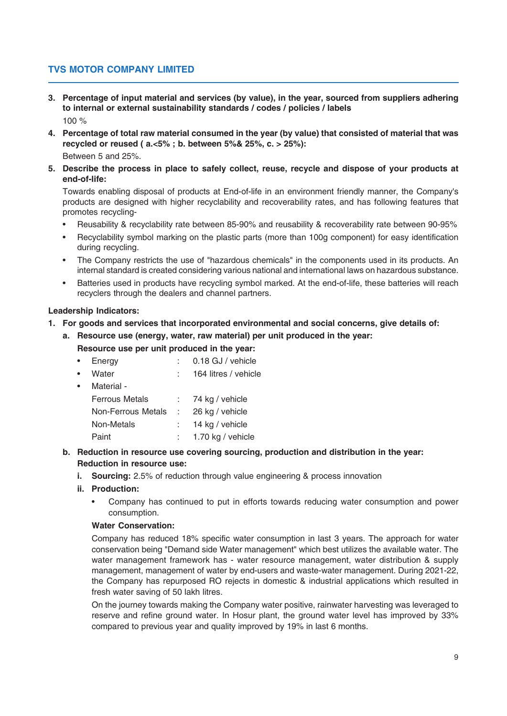- **3. Percentage of input material and services (by value), in the year, sourced from suppliers adhering to internal or external sustainability standards / codes / policies / labels** 100 %
- **4. Percentage of total raw material consumed in the year (by value) that consisted of material that was recycled or reused ( a.<5% ; b. between 5%& 25%, c. > 25%):**

Between 5 and 25%.

**5. Describe the process in place to safely collect, reuse, recycle and dispose of your products at end-of-life:**

Towards enabling disposal of products at End-of-life in an environment friendly manner, the Company's products are designed with higher recyclability and recoverability rates, and has following features that promotes recycling-

- Reusability & recyclability rate between 85-90% and reusability & recoverability rate between 90-95%
- Recyclability symbol marking on the plastic parts (more than 100g component) for easy identification during recycling.
- The Company restricts the use of "hazardous chemicals" in the components used in its products. An internal standard is created considering various national and international laws on hazardous substance.
- Batteries used in products have recycling symbol marked. At the end-of-life, these batteries will reach recyclers through the dealers and channel partners.

# **Leadership Indicators:**

- **1. For goods and services that incorporated environmental and social concerns, give details of:**
	- **a. Resource use (energy, water, raw material) per unit produced in the year: Resource use per unit produced in the year:**

| $\bullet$ | Energy                | 0.18 GJ / vehicle    |
|-----------|-----------------------|----------------------|
| $\bullet$ | Water                 | 164 litres / vehicle |
| $\bullet$ | Material -            |                      |
|           | <b>Ferrous Metals</b> | 74 kg / vehicle      |
|           | Non-Ferrous Metals    | 26 kg / vehicle      |
|           | Non-Metals            | 14 kg / vehicle      |
|           | Paint                 | 1.70 kg / vehicle    |

- **b. Reduction in resource use covering sourcing, production and distribution in the year: Reduction in resource use:**
	- **i.** Sourcing: 2.5% of reduction through value engineering & process innovation
	- **ii. Production:**
		- Company has continued to put in efforts towards reducing water consumption and power consumption.

# **Water Conservation:**

Company has reduced 18% specific water consumption in last 3 years. The approach for water conservation being "Demand side Water management" which best utilizes the available water. The water management framework has - water resource management, water distribution & supply management, management of water by end-users and waste-water management. During 2021-22, the Company has repurposed RO rejects in domestic & industrial applications which resulted in fresh water saving of 50 lakh litres.

On the journey towards making the Company water positive, rainwater harvesting was leveraged to reserve and refine ground water. In Hosur plant, the ground water level has improved by 33% compared to previous year and quality improved by 19% in last 6 months.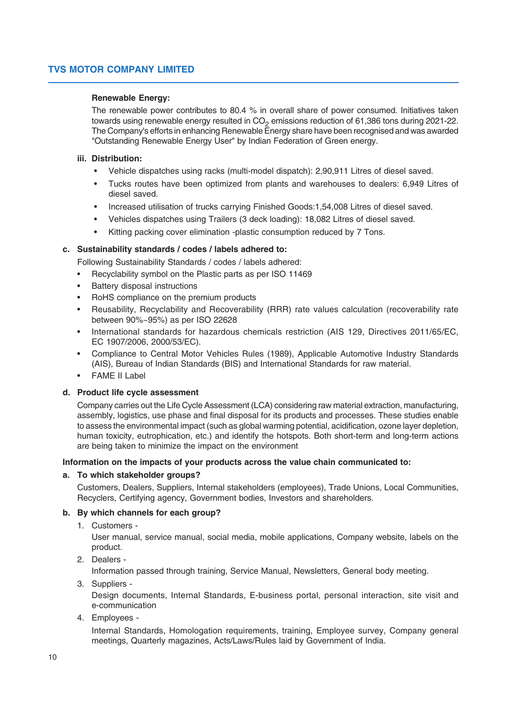## **Renewable Energy:**

The renewable power contributes to 80.4 % in overall share of power consumed. Initiatives taken towards using renewable energy resulted in CO<sub>2</sub> emissions reduction of 61,386 tons during 2021-22. The Company's efforts in enhancing Renewable Energy share have been recognised and was awarded "Outstanding Renewable Energy User" by Indian Federation of Green energy.

## **iii. Distribution:**

- Vehicle dispatches using racks (multi-model dispatch): 2,90,911 Litres of diesel saved.
- Tucks routes have been optimized from plants and warehouses to dealers: 6,949 Litres of diesel saved.
- Increased utilisation of trucks carrying Finished Goods:1,54,008 Litres of diesel saved.
- Vehicles dispatches using Trailers (3 deck loading): 18,082 Litres of diesel saved.
- Kitting packing cover elimination -plastic consumption reduced by 7 Tons.

## **c. Sustainability standards / codes / labels adhered to:**

Following Sustainability Standards / codes / labels adhered:

- Recyclability symbol on the Plastic parts as per ISO 11469
- Battery disposal instructions
- RoHS compliance on the premium products
- Reusability, Recyclability and Recoverability (RRR) rate values calculation (recoverability rate between 90%~95%) as per ISO 22628
- International standards for hazardous chemicals restriction (AIS 129, Directives 2011/65/EC, EC 1907/2006, 2000/53/EC).
- Compliance to Central Motor Vehicles Rules (1989), Applicable Automotive Industry Standards (AIS), Bureau of Indian Standards (BIS) and International Standards for raw material.
- FAME II Label

#### **d. Product life cycle assessment**

Company carries out the Life Cycle Assessment (LCA) considering raw material extraction, manufacturing, assembly, logistics, use phase and final disposal for its products and processes. These studies enable to assess the environmental impact (such as global warming potential, acidification, ozone layer depletion, human toxicity, eutrophication, etc.) and identify the hotspots. Both short-term and long-term actions are being taken to minimize the impact on the environment

#### **Information on the impacts of your products across the value chain communicated to:**

#### **a. To which stakeholder groups?**

Customers, Dealers, Suppliers, Internal stakeholders (employees), Trade Unions, Local Communities, Recyclers, Certifying agency, Government bodies, Investors and shareholders.

#### **b. By which channels for each group?**

1. Customers -

User manual, service manual, social media, mobile applications, Company website, labels on the product.

2. Dealers -

Information passed through training, Service Manual, Newsletters, General body meeting.

3. Suppliers -

Design documents, Internal Standards, E-business portal, personal interaction, site visit and e-communication

4. Employees -

Internal Standards, Homologation requirements, training, Employee survey, Company general meetings, Quarterly magazines, Acts/Laws/Rules laid by Government of India.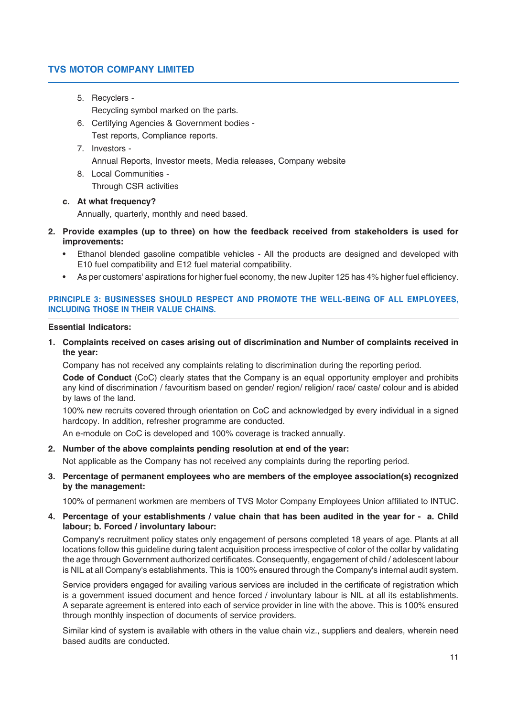5. Recyclers -

Recycling symbol marked on the parts.

- 6. Certifying Agencies & Government bodies Test reports, Compliance reports.
- 7. Investors Annual Reports, Investor meets, Media releases, Company website
- 8. Local Communities -

Through CSR activities

## **c. At what frequency?**

Annually, quarterly, monthly and need based.

- **2. Provide examples (up to three) on how the feedback received from stakeholders is used for improvements:**
	- Ethanol blended gasoline compatible vehicles All the products are designed and developed with E10 fuel compatibility and E12 fuel material compatibility.
	- As per customers' aspirations for higher fuel economy, the new Jupiter 125 has 4% higher fuel efficiency.

# **PRINCIPLE 3: BUSINESSES SHOULD RESPECT AND PROMOTE THE WELL-BEING OF ALL EMPLOYEES, INCLUDING THOSE IN THEIR VALUE CHAINS.**

#### **Essential Indicators:**

**1. Complaints received on cases arising out of discrimination and Number of complaints received in the year:**

Company has not received any complaints relating to discrimination during the reporting period.

**Code of Conduct** (CoC) clearly states that the Company is an equal opportunity employer and prohibits any kind of discrimination / favouritism based on gender/ region/ religion/ race/ caste/ colour and is abided by laws of the land.

100% new recruits covered through orientation on CoC and acknowledged by every individual in a signed hardcopy. In addition, refresher programme are conducted.

An e-module on CoC is developed and 100% coverage is tracked annually.

**2. Number of the above complaints pending resolution at end of the year:**

Not applicable as the Company has not received any complaints during the reporting period.

**3. Percentage of permanent employees who are members of the employee association(s) recognized by the management:**

100% of permanent workmen are members of TVS Motor Company Employees Union affiliated to INTUC.

**4. Percentage of your establishments / value chain that has been audited in the year for - a. Child labour; b. Forced / involuntary labour:**

Company's recruitment policy states only engagement of persons completed 18 years of age. Plants at all locations follow this guideline during talent acquisition process irrespective of color of the collar by validating the age through Government authorized certificates. Consequently, engagement of child / adolescent labour is NIL at all Company's establishments. This is 100% ensured through the Company's internal audit system.

Service providers engaged for availing various services are included in the certificate of registration which is a government issued document and hence forced / involuntary labour is NIL at all its establishments. A separate agreement is entered into each of service provider in line with the above. This is 100% ensured through monthly inspection of documents of service providers.

Similar kind of system is available with others in the value chain viz., suppliers and dealers, wherein need based audits are conducted.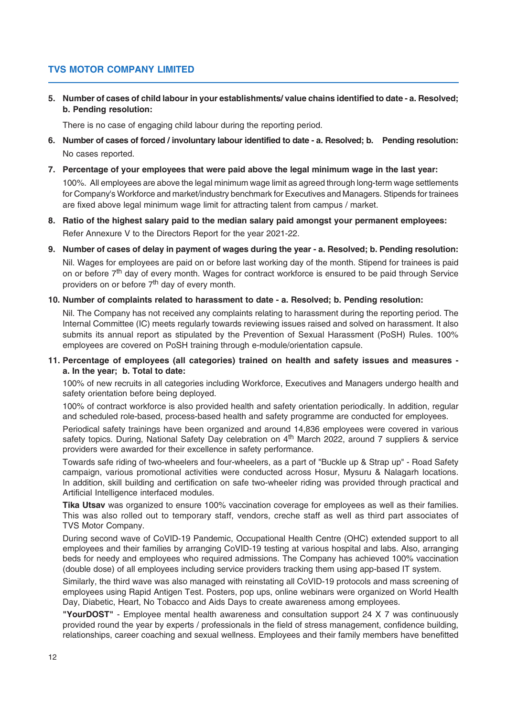**5. Number of cases of child labour in your establishments/ value chains identified to date - a. Resolved; b. Pending resolution:**

There is no case of engaging child labour during the reporting period.

- **6. Number of cases of forced / involuntary labour identified to date a. Resolved; b. Pending resolution:** No cases reported.
- **7. Percentage of your employees that were paid above the legal minimum wage in the last year:**

100%. All employees are above the legal minimum wage limit as agreed through long-term wage settlements for Company's Workforce and market/industry benchmark for Executives and Managers. Stipends for trainees are fixed above legal minimum wage limit for attracting talent from campus / market.

- **8. Ratio of the highest salary paid to the median salary paid amongst your permanent employees:** Refer Annexure V to the Directors Report for the year 2021-22.
- **9. Number of cases of delay in payment of wages during the year a. Resolved; b. Pending resolution:** Nil. Wages for employees are paid on or before last working day of the month. Stipend for trainees is paid on or before 7<sup>th</sup> day of every month. Wages for contract workforce is ensured to be paid through Service providers on or before 7<sup>th</sup> day of every month.

#### **10. Number of complaints related to harassment to date - a. Resolved; b. Pending resolution:**

Nil. The Company has not received any complaints relating to harassment during the reporting period. The Internal Committee (IC) meets regularly towards reviewing issues raised and solved on harassment. It also submits its annual report as stipulated by the Prevention of Sexual Harassment (PoSH) Rules. 100% employees are covered on PoSH training through e-module/orientation capsule.

## **11. Percentage of employees (all categories) trained on health and safety issues and measures a. In the year; b. Total to date:**

100% of new recruits in all categories including Workforce, Executives and Managers undergo health and safety orientation before being deployed.

100% of contract workforce is also provided health and safety orientation periodically. In addition, regular and scheduled role-based, process-based health and safety programme are conducted for employees.

Periodical safety trainings have been organized and around 14,836 employees were covered in various safety topics. During, National Safety Day celebration on 4<sup>th</sup> March 2022, around 7 suppliers & service providers were awarded for their excellence in safety performance.

Towards safe riding of two-wheelers and four-wheelers, as a part of "Buckle up & Strap up" - Road Safety campaign, various promotional activities were conducted across Hosur, Mysuru & Nalagarh locations. In addition, skill building and certification on safe two-wheeler riding was provided through practical and Artificial Intelligence interfaced modules.

**Tika Utsav** was organized to ensure 100% vaccination coverage for employees as well as their families. This was also rolled out to temporary staff, vendors, creche staff as well as third part associates of TVS Motor Company.

During second wave of CoVID-19 Pandemic, Occupational Health Centre (OHC) extended support to all employees and their families by arranging CoVID-19 testing at various hospital and labs. Also, arranging beds for needy and employees who required admissions. The Company has achieved 100% vaccination (double dose) of all employees including service providers tracking them using app-based IT system.

Similarly, the third wave was also managed with reinstating all CoVID-19 protocols and mass screening of employees using Rapid Antigen Test. Posters, pop ups, online webinars were organized on World Health Day, Diabetic, Heart, No Tobacco and Aids Days to create awareness among employees.

**"YourDOST"** - Employee mental health awareness and consultation support 24 X 7 was continuously provided round the year by experts / professionals in the field of stress management, confidence building, relationships, career coaching and sexual wellness. Employees and their family members have benefitted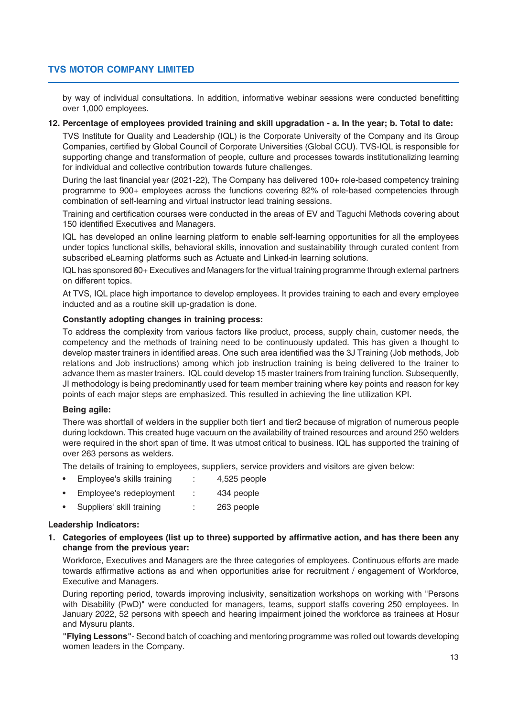by way of individual consultations. In addition, informative webinar sessions were conducted benefitting over 1,000 employees.

## **12. Percentage of employees provided training and skill upgradation - a. In the year; b. Total to date:**

TVS Institute for Quality and Leadership (IQL) is the Corporate University of the Company and its Group Companies, certified by Global Council of Corporate Universities (Global CCU). TVS-IQL is responsible for supporting change and transformation of people, culture and processes towards institutionalizing learning for individual and collective contribution towards future challenges.

During the last financial year (2021-22), The Company has delivered 100+ role-based competency training programme to 900+ employees across the functions covering 82% of role-based competencies through combination of self-learning and virtual instructor lead training sessions.

Training and certification courses were conducted in the areas of EV and Taguchi Methods covering about 150 identified Executives and Managers.

IQL has developed an online learning platform to enable self-learning opportunities for all the employees under topics functional skills, behavioral skills, innovation and sustainability through curated content from subscribed eLearning platforms such as Actuate and Linked-in learning solutions.

IQL has sponsored 80+ Executives and Managers for the virtual training programme through external partners on different topics.

At TVS, IQL place high importance to develop employees. It provides training to each and every employee inducted and as a routine skill up-gradation is done.

## **Constantly adopting changes in training process:**

To address the complexity from various factors like product, process, supply chain, customer needs, the competency and the methods of training need to be continuously updated. This has given a thought to develop master trainers in identified areas. One such area identified was the 3J Training (Job methods, Job relations and Job instructions) among which job instruction training is being delivered to the trainer to advance them as master trainers. IQL could develop 15 master trainers from training function. Subsequently, JI methodology is being predominantly used for team member training where key points and reason for key points of each major steps are emphasized. This resulted in achieving the line utilization KPI.

# **Being agile:**

There was shortfall of welders in the supplier both tier1 and tier2 because of migration of numerous people during lockdown. This created huge vacuum on the availability of trained resources and around 250 welders were required in the short span of time. It was utmost critical to business. IQL has supported the training of over 263 persons as welders.

The details of training to employees, suppliers, service providers and visitors are given below:

- Employee's skills training : 4,525 people
- Employee's redeployment : 434 people
- Suppliers' skill training : 263 people

#### **Leadership Indicators:**

**1. Categories of employees (list up to three) supported by affirmative action, and has there been any change from the previous year:**

Workforce, Executives and Managers are the three categories of employees. Continuous efforts are made towards affirmative actions as and when opportunities arise for recruitment / engagement of Workforce, Executive and Managers.

During reporting period, towards improving inclusivity, sensitization workshops on working with "Persons with Disability (PwD)" were conducted for managers, teams, support staffs covering 250 employees. In January 2022, 52 persons with speech and hearing impairment joined the workforce as trainees at Hosur and Mysuru plants.

**"Flying Lessons"**- Second batch of coaching and mentoring programme was rolled out towards developing women leaders in the Company.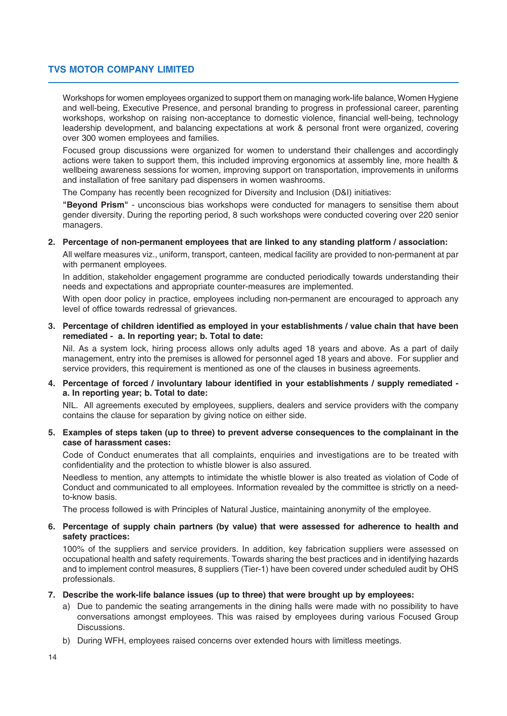Workshops for women employees organized to support them on managing work-life balance, Women Hygiene and well-being, Executive Presence, and personal branding to progress in professional career, parenting workshops, workshop on raising non-acceptance to domestic violence, financial well-being, technology leadership development, and balancing expectations at work & personal front were organized, covering over 300 women employees and families.

Focused group discussions were organized for women to understand their challenges and accordingly actions were taken to support them, this included improving ergonomics at assembly line, more health & wellbeing awareness sessions for women, improving support on transportation, improvements in uniforms and installation of free sanitary pad dispensers in women washrooms.

The Company has recently been recognized for Diversity and Inclusion (D&I) initiatives:

**"Beyond Prism"** - unconscious bias workshops were conducted for managers to sensitise them about gender diversity. During the reporting period, 8 such workshops were conducted covering over 220 senior managers.

#### **2. Percentage of non-permanent employees that are linked to any standing platform / association:**

All welfare measures viz., uniform, transport, canteen, medical facility are provided to non-permanent at par with permanent employees.

In addition, stakeholder engagement programme are conducted periodically towards understanding their needs and expectations and appropriate counter-measures are implemented.

With open door policy in practice, employees including non-permanent are encouraged to approach any level of office towards redressal of grievances.

**3. Percentage of children identified as employed in your establishments / value chain that have been remediated - a. In reporting year; b. Total to date:**

Nil. As a system lock, hiring process allows only adults aged 18 years and above. As a part of daily management, entry into the premises is allowed for personnel aged 18 years and above. For supplier and service providers, this requirement is mentioned as one of the clauses in business agreements.

**4. Percentage of forced / involuntary labour identified in your establishments / supply remediated a. In reporting year; b. Total to date:**

NIL. All agreements executed by employees, suppliers, dealers and service providers with the company contains the clause for separation by giving notice on either side.

**5. Examples of steps taken (up to three) to prevent adverse consequences to the complainant in the case of harassment cases:**

Code of Conduct enumerates that all complaints, enquiries and investigations are to be treated with confidentiality and the protection to whistle blower is also assured.

Needless to mention, any attempts to intimidate the whistle blower is also treated as violation of Code of Conduct and communicated to all employees. Information revealed by the committee is strictly on a needto-know basis.

The process followed is with Principles of Natural Justice, maintaining anonymity of the employee.

## **6. Percentage of supply chain partners (by value) that were assessed for adherence to health and safety practices:**

100% of the suppliers and service providers. In addition, key fabrication suppliers were assessed on occupational health and safety requirements. Towards sharing the best practices and in identifying hazards and to implement control measures, 8 suppliers (Tier-1) have been covered under scheduled audit by OHS professionals.

#### **7. Describe the work-life balance issues (up to three) that were brought up by employees:**

- a) Due to pandemic the seating arrangements in the dining halls were made with no possibility to have conversations amongst employees. This was raised by employees during various Focused Group Discussions.
- b) During WFH, employees raised concerns over extended hours with limitless meetings.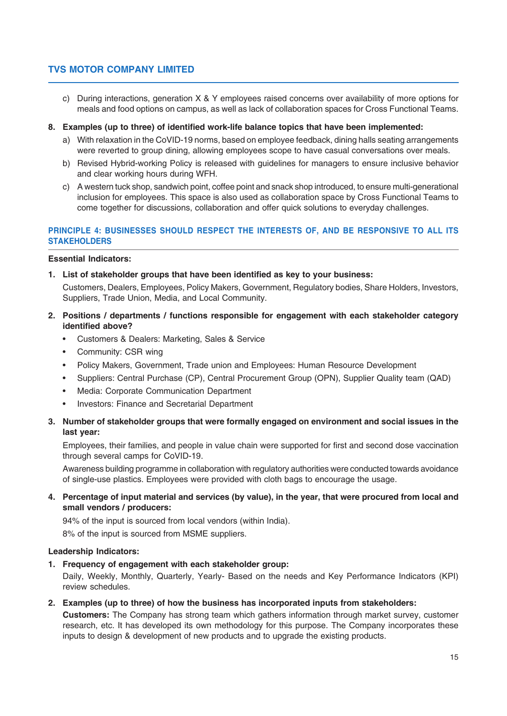c) During interactions, generation X & Y employees raised concerns over availability of more options for meals and food options on campus, as well as lack of collaboration spaces for Cross Functional Teams.

## **8. Examples (up to three) of identified work-life balance topics that have been implemented:**

- a) With relaxation in the CoVID-19 norms, based on employee feedback, dining halls seating arrangements were reverted to group dining, allowing employees scope to have casual conversations over meals.
- b) Revised Hybrid-working Policy is released with guidelines for managers to ensure inclusive behavior and clear working hours during WFH.
- c) A western tuck shop, sandwich point, coffee point and snack shop introduced, to ensure multi-generational inclusion for employees. This space is also used as collaboration space by Cross Functional Teams to come together for discussions, collaboration and offer quick solutions to everyday challenges.

# **PRINCIPLE 4: BUSINESSES SHOULD RESPECT THE INTERESTS OF, AND BE RESPONSIVE TO ALL ITS STAKEHOLDERS**

## **Essential Indicators:**

**1. List of stakeholder groups that have been identified as key to your business:**

Customers, Dealers, Employees, Policy Makers, Government, Regulatory bodies, Share Holders, Investors, Suppliers, Trade Union, Media, and Local Community.

- **2. Positions / departments / functions responsible for engagement with each stakeholder category identified above?**
	- Customers & Dealers: Marketing, Sales & Service
	- Community: CSR wing
	- Policy Makers, Government, Trade union and Employees: Human Resource Development
	- Suppliers: Central Purchase (CP), Central Procurement Group (OPN), Supplier Quality team (QAD)
	- Media: Corporate Communication Department
	- Investors: Finance and Secretarial Department
- **3. Number of stakeholder groups that were formally engaged on environment and social issues in the last year:**

Employees, their families, and people in value chain were supported for first and second dose vaccination through several camps for CoVID-19.

Awareness building programme in collaboration with regulatory authorities were conducted towards avoidance of single-use plastics. Employees were provided with cloth bags to encourage the usage.

**4. Percentage of input material and services (by value), in the year, that were procured from local and small vendors / producers:**

94% of the input is sourced from local vendors (within India). 8% of the input is sourced from MSME suppliers.

#### **Leadership Indicators:**

**1. Frequency of engagement with each stakeholder group:**

Daily, Weekly, Monthly, Quarterly, Yearly- Based on the needs and Key Performance Indicators (KPI) review schedules.

**2. Examples (up to three) of how the business has incorporated inputs from stakeholders:**

**Customers:** The Company has strong team which gathers information through market survey, customer research, etc. It has developed its own methodology for this purpose. The Company incorporates these inputs to design & development of new products and to upgrade the existing products.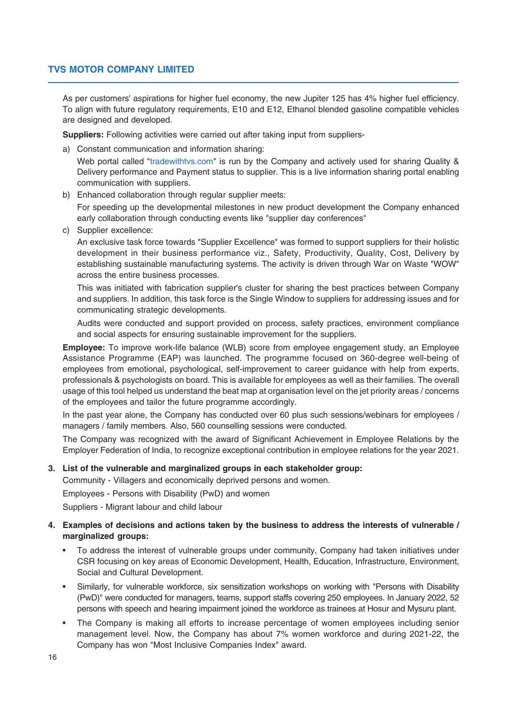As per customers' aspirations for higher fuel economy, the new Jupiter 125 has 4% higher fuel efficiency. To align with future regulatory requirements, E10 and E12, Ethanol blended gasoline compatible vehicles are designed and developed.

**Suppliers:** Following activities were carried out after taking input from suppliers-

a) Constant communication and information sharing:

Web portal called "tradewithtvs.com" is run by the Company and actively used for sharing Quality & Delivery performance and Payment status to supplier. This is a live information sharing portal enabling communication with suppliers.

b) Enhanced collaboration through regular supplier meets:

For speeding up the developmental milestones in new product development the Company enhanced early collaboration through conducting events like "supplier day conferences"

c) Supplier excellence:

An exclusive task force towards "Supplier Excellence" was formed to support suppliers for their holistic development in their business performance viz., Safety, Productivity, Quality, Cost, Delivery by establishing sustainable manufacturing systems. The activity is driven through War on Waste "WOW" across the entire business processes.

This was initiated with fabrication supplier's cluster for sharing the best practices between Company and suppliers. In addition, this task force is the Single Window to suppliers for addressing issues and for communicating strategic developments.

Audits were conducted and support provided on process, safety practices, environment compliance and social aspects for ensuring sustainable improvement for the suppliers.

**Employee:** To improve work-life balance (WLB) score from employee engagement study, an Employee Assistance Programme (EAP) was launched. The programme focused on 360-degree well-being of employees from emotional, psychological, self-improvement to career guidance with help from experts, professionals & psychologists on board. This is available for employees as well as their families. The overall usage of this tool helped us understand the beat map at organisation level on the jet priority areas / concerns of the employees and tailor the future programme accordingly.

In the past year alone, the Company has conducted over 60 plus such sessions/webinars for employees / managers / family members. Also, 560 counselling sessions were conducted.

The Company was recognized with the award of Significant Achievement in Employee Relations by the Employer Federation of India, to recognize exceptional contribution in employee relations for the year 2021.

#### **3. List of the vulnerable and marginalized groups in each stakeholder group:**

Community - Villagers and economically deprived persons and women.

Employees - Persons with Disability (PwD) and women

Suppliers - Migrant labour and child labour

## **4. Examples of decisions and actions taken by the business to address the interests of vulnerable / marginalized groups:**

- To address the interest of vulnerable groups under community, Company had taken initiatives under CSR focusing on key areas of Economic Development, Health, Education, Infrastructure, Environment, Social and Cultural Development.
- Similarly, for vulnerable workforce, six sensitization workshops on working with "Persons with Disability (PwD)" were conducted for managers, teams, support staffs covering 250 employees. In January 2022, 52 persons with speech and hearing impairment joined the workforce as trainees at Hosur and Mysuru plant.
- The Company is making all efforts to increase percentage of women employees including senior management level. Now, the Company has about 7% women workforce and during 2021-22, the Company has won "Most Inclusive Companies Index" award.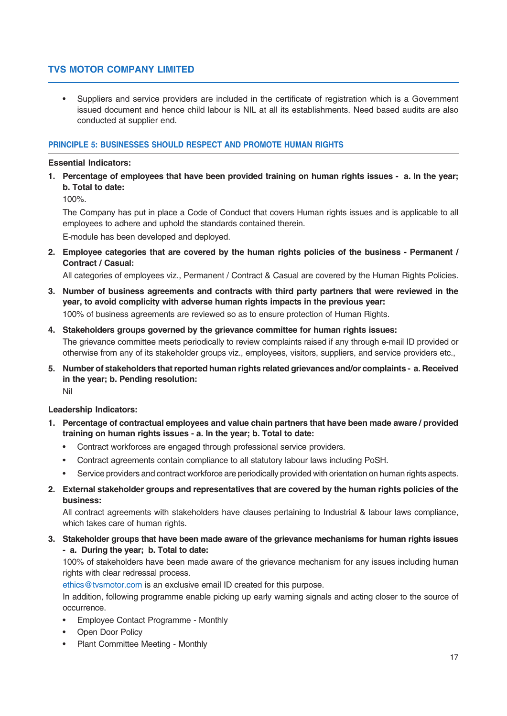• Suppliers and service providers are included in the certificate of registration which is a Government issued document and hence child labour is NIL at all its establishments. Need based audits are also conducted at supplier end.

# **PRINCIPLE 5: BUSINESSES SHOULD RESPECT AND PROMOTE HUMAN RIGHTS**

## **Essential Indicators:**

**1. Percentage of employees that have been provided training on human rights issues - a. In the year; b. Total to date:**

100%.

The Company has put in place a Code of Conduct that covers Human rights issues and is applicable to all employees to adhere and uphold the standards contained therein.

E-module has been developed and deployed.

**2. Employee categories that are covered by the human rights policies of the business - Permanent / Contract / Casual:**

All categories of employees viz., Permanent / Contract & Casual are covered by the Human Rights Policies.

- **3. Number of business agreements and contracts with third party partners that were reviewed in the year, to avoid complicity with adverse human rights impacts in the previous year:** 100% of business agreements are reviewed so as to ensure protection of Human Rights.
- **4. Stakeholders groups governed by the grievance committee for human rights issues:** The grievance committee meets periodically to review complaints raised if any through e-mail ID provided or otherwise from any of its stakeholder groups viz., employees, visitors, suppliers, and service providers etc.,
- **5. Number of stakeholders that reported human rights related grievances and/or complaints a. Received in the year; b. Pending resolution:** Nil

#### **Leadership Indicators:**

- **1. Percentage of contractual employees and value chain partners that have been made aware / provided training on human rights issues - a. In the year; b. Total to date:**
	- Contract workforces are engaged through professional service providers.
	- Contract agreements contain compliance to all statutory labour laws including PoSH.
	- Service providers and contract workforce are periodically provided with orientation on human rights aspects.
- **2. External stakeholder groups and representatives that are covered by the human rights policies of the business:**

All contract agreements with stakeholders have clauses pertaining to Industrial & labour laws compliance, which takes care of human rights.

**3. Stakeholder groups that have been made aware of the grievance mechanisms for human rights issues - a. During the year; b. Total to date:**

100% of stakeholders have been made aware of the grievance mechanism for any issues including human rights with clear redressal process.

ethics@tvsmotor.com is an exclusive email ID created for this purpose.

In addition, following programme enable picking up early warning signals and acting closer to the source of occurrence.

- Employee Contact Programme Monthly
- Open Door Policy
- Plant Committee Meeting Monthly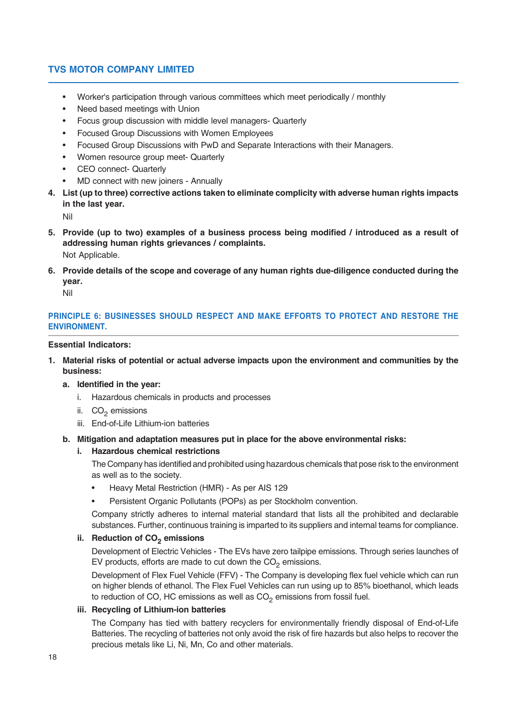- Worker's participation through various committees which meet periodically / monthly
- Need based meetings with Union
- Focus group discussion with middle level managers- Quarterly
- Focused Group Discussions with Women Employees
- Focused Group Discussions with PwD and Separate Interactions with their Managers.
- Women resource group meet- Quarterly
- CEO connect- Quarterly
- MD connect with new joiners Annually
- **4. List (up to three) corrective actions taken to eliminate complicity with adverse human rights impacts in the last year.**

Nil

- **5. Provide (up to two) examples of a business process being modified / introduced as a result of addressing human rights grievances / complaints.** Not Applicable.
- **6. Provide details of the scope and coverage of any human rights due-diligence conducted during the year.**

Nil

# **PRINCIPLE 6: BUSINESSES SHOULD RESPECT AND MAKE EFFORTS TO PROTECT AND RESTORE THE ENVIRONMENT.**

#### **Essential Indicators:**

- **1. Material risks of potential or actual adverse impacts upon the environment and communities by the business:**
	- **a. Identified in the year:**
		- i. Hazardous chemicals in products and processes
		- ii.  $CO<sub>2</sub>$  emissions
		- iii. End-of-Life Lithium-ion batteries

#### **b. Mitigation and adaptation measures put in place for the above environmental risks:**

#### **i. Hazardous chemical restrictions**

The Company has identified and prohibited using hazardous chemicals that pose risk to the environment as well as to the society.

- Heavy Metal Restriction (HMR) As per AIS 129
- Persistent Organic Pollutants (POPs) as per Stockholm convention.

Company strictly adheres to internal material standard that lists all the prohibited and declarable substances. Further, continuous training is imparted to its suppliers and internal teams for compliance.

#### **ii.** Reduction of CO<sub>2</sub> emissions

Development of Electric Vehicles - The EVs have zero tailpipe emissions. Through series launches of EV products, efforts are made to cut down the  $CO<sub>2</sub>$  emissions.

Development of Flex Fuel Vehicle (FFV) - The Company is developing flex fuel vehicle which can run on higher blends of ethanol. The Flex Fuel Vehicles can run using up to 85% bioethanol, which leads to reduction of CO, HC emissions as well as  $CO<sub>2</sub>$  emissions from fossil fuel.

### **iii. Recycling of Lithium-ion batteries**

The Company has tied with battery recyclers for environmentally friendly disposal of End-of-Life Batteries. The recycling of batteries not only avoid the risk of fire hazards but also helps to recover the precious metals like Li, Ni, Mn, Co and other materials.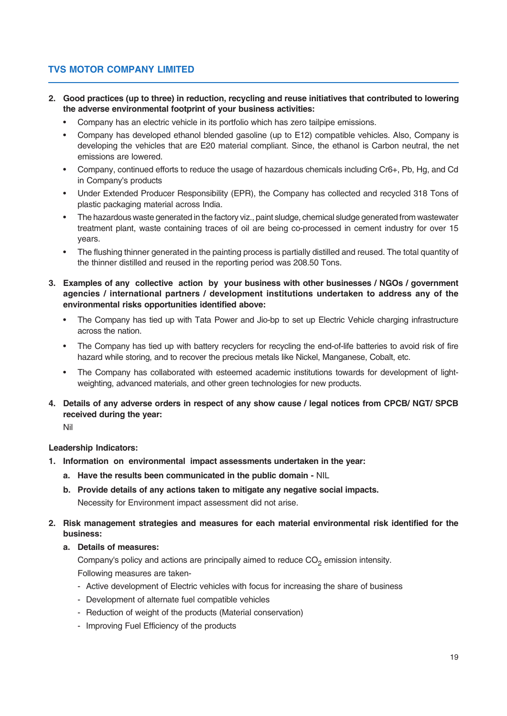- **2. Good practices (up to three) in reduction, recycling and reuse initiatives that contributed to lowering the adverse environmental footprint of your business activities:**
	- Company has an electric vehicle in its portfolio which has zero tailpipe emissions.
	- Company has developed ethanol blended gasoline (up to E12) compatible vehicles. Also, Company is developing the vehicles that are E20 material compliant. Since, the ethanol is Carbon neutral, the net emissions are lowered.
	- Company, continued efforts to reduce the usage of hazardous chemicals including Cr6+, Pb, Hg, and Cd in Company's products
	- Under Extended Producer Responsibility (EPR), the Company has collected and recycled 318 Tons of plastic packaging material across India.
	- The hazardous waste generated in the factory viz., paint sludge, chemical sludge generated from wastewater treatment plant, waste containing traces of oil are being co-processed in cement industry for over 15 years.
	- The flushing thinner generated in the painting process is partially distilled and reused. The total quantity of the thinner distilled and reused in the reporting period was 208.50 Tons.
- **3. Examples of any collective action by your business with other businesses / NGOs / government agencies / international partners / development institutions undertaken to address any of the environmental risks opportunities identified above:**
	- The Company has tied up with Tata Power and Jio-bp to set up Electric Vehicle charging infrastructure across the nation.
	- The Company has tied up with battery recyclers for recycling the end-of-life batteries to avoid risk of fire hazard while storing, and to recover the precious metals like Nickel, Manganese, Cobalt, etc.
	- The Company has collaborated with esteemed academic institutions towards for development of lightweighting, advanced materials, and other green technologies for new products.
- **4. Details of any adverse orders in respect of any show cause / legal notices from CPCB/ NGT/ SPCB received during the year:**

Nil

# **Leadership Indicators:**

- **1. Information on environmental impact assessments undertaken in the year:**
	- **a. Have the results been communicated in the public domain** NIL
	- **b. Provide details of any actions taken to mitigate any negative social impacts.** Necessity for Environment impact assessment did not arise.
- **2. Risk management strategies and measures for each material environmental risk identified for the business:**
	- **a. Details of measures:**

Company's policy and actions are principally aimed to reduce  $CO<sub>2</sub>$  emission intensity. Following measures are taken-

- Active development of Electric vehicles with focus for increasing the share of business
- Development of alternate fuel compatible vehicles
- Reduction of weight of the products (Material conservation)
- Improving Fuel Efficiency of the products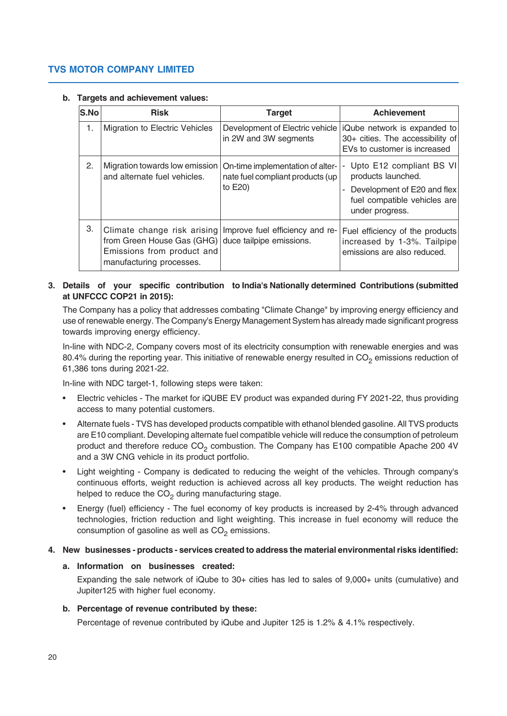## **b. Targets and achievement values:**

| S.No | <b>Risk</b>                                                                                                   | <b>Target</b>                                                                   | <b>Achievement</b>                                                                                                                    |
|------|---------------------------------------------------------------------------------------------------------------|---------------------------------------------------------------------------------|---------------------------------------------------------------------------------------------------------------------------------------|
| 1.   | Migration to Electric Vehicles                                                                                | Development of Electric vehicle<br>in 2W and 3W segments                        | iQube network is expanded to<br>30+ cities. The accessibility of<br>EVs to customer is increased                                      |
| 2.   | Migration towards low emission<br>and alternate fuel vehicles.                                                | On-time implementation of alter-<br>nate fuel compliant products (up<br>to E20) | Upto E12 compliant BS VI<br>۰<br>products launched.<br>Development of E20 and flex<br>fuel compatible vehicles are<br>under progress. |
| 3.   | from Green House Gas (GHG) duce tailpipe emissions.<br>Emissions from product and<br>manufacturing processes. | Climate change risk arising Improve fuel efficiency and re-                     | Fuel efficiency of the products<br>increased by 1-3%. Tailpipe<br>emissions are also reduced.                                         |

# **3. Details of your specific contribution to India's Nationally determined Contributions (submitted at UNFCCC COP21 in 2015):**

The Company has a policy that addresses combating "Climate Change" by improving energy efficiency and use of renewable energy. The Company's Energy Management System has already made significant progress towards improving energy efficiency.

In-line with NDC-2, Company covers most of its electricity consumption with renewable energies and was 80.4% during the reporting year. This initiative of renewable energy resulted in  $CO<sub>2</sub>$  emissions reduction of 61,386 tons during 2021-22.

In-line with NDC target-1, following steps were taken:

- Electric vehicles The market for iQUBE EV product was expanded during FY 2021-22, thus providing access to many potential customers.
- Alternate fuels TVS has developed products compatible with ethanol blended gasoline. All TVS products are E10 compliant. Developing alternate fuel compatible vehicle will reduce the consumption of petroleum product and therefore reduce  $CO<sub>2</sub>$  combustion. The Company has E100 compatible Apache 200 4V and a 3W CNG vehicle in its product portfolio.
- Light weighting Company is dedicated to reducing the weight of the vehicles. Through company's continuous efforts, weight reduction is achieved across all key products. The weight reduction has helped to reduce the  $CO<sub>2</sub>$  during manufacturing stage.
- Energy (fuel) efficiency The fuel economy of key products is increased by 2-4% through advanced technologies, friction reduction and light weighting. This increase in fuel economy will reduce the consumption of gasoline as well as  $CO<sub>2</sub>$  emissions.

# **4. New businesses - products - services created to address the material environmental risks identified:**

# **a. Information on businesses created:**

Expanding the sale network of iQube to 30+ cities has led to sales of 9,000+ units (cumulative) and Jupiter125 with higher fuel economy.

# **b. Percentage of revenue contributed by these:**

Percentage of revenue contributed by iQube and Jupiter 125 is 1.2% & 4.1% respectively.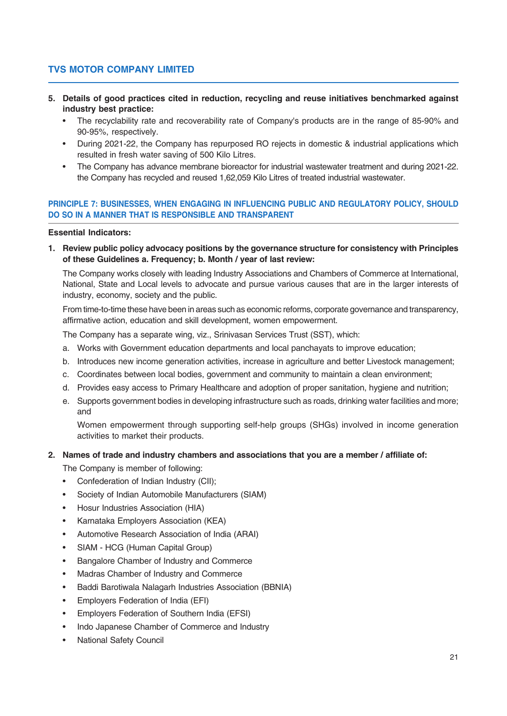- **5. Details of good practices cited in reduction, recycling and reuse initiatives benchmarked against industry best practice:**
	- The recyclability rate and recoverability rate of Company's products are in the range of 85-90% and 90-95%, respectively.
	- During 2021-22, the Company has repurposed RO rejects in domestic & industrial applications which resulted in fresh water saving of 500 Kilo Litres.
	- The Company has advance membrane bioreactor for industrial wastewater treatment and during 2021-22. the Company has recycled and reused 1,62,059 Kilo Litres of treated industrial wastewater.

## **PRINCIPLE 7: BUSINESSES, WHEN ENGAGING IN INFLUENCING PUBLIC AND REGULATORY POLICY, SHOULD DO SO IN A MANNER THAT IS RESPONSIBLE AND TRANSPARENT**

## **Essential Indicators:**

**1. Review public policy advocacy positions by the governance structure for consistency with Principles of these Guidelines a. Frequency; b. Month / year of last review:**

The Company works closely with leading Industry Associations and Chambers of Commerce at International, National, State and Local levels to advocate and pursue various causes that are in the larger interests of industry, economy, society and the public.

From time-to-time these have been in areas such as economic reforms, corporate governance and transparency, affirmative action, education and skill development, women empowerment.

The Company has a separate wing, viz., Srinivasan Services Trust (SST), which:

- a. Works with Government education departments and local panchayats to improve education;
- b. Introduces new income generation activities, increase in agriculture and better Livestock management;
- c. Coordinates between local bodies, government and community to maintain a clean environment;
- d. Provides easy access to Primary Healthcare and adoption of proper sanitation, hygiene and nutrition;
- e. Supports government bodies in developing infrastructure such as roads, drinking water facilities and more; and

Women empowerment through supporting self-help groups (SHGs) involved in income generation activities to market their products.

# **2. Names of trade and industry chambers and associations that you are a member / affiliate of:**

The Company is member of following:

- Confederation of Indian Industry (CII);
- Society of Indian Automobile Manufacturers (SIAM)
- Hosur Industries Association (HIA)
- Karnataka Employers Association (KEA)
- Automotive Research Association of India (ARAI)
- SIAM HCG (Human Capital Group)
- Bangalore Chamber of Industry and Commerce
- Madras Chamber of Industry and Commerce
- Baddi Barotiwala Nalagarh Industries Association (BBNIA)
- Employers Federation of India (EFI)
- Employers Federation of Southern India (EFSI)
- Indo Japanese Chamber of Commerce and Industry
- National Safety Council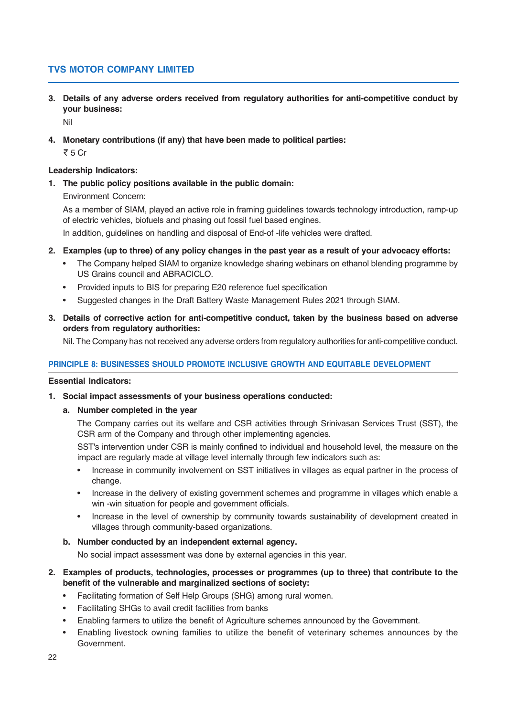**3. Details of any adverse orders received from regulatory authorities for anti-competitive conduct by your business:**

Nil

**4. Monetary contributions (if any) that have been made to political parties:**

₹ 5 Cr

# **Leadership Indicators:**

**1. The public policy positions available in the public domain:**

Environment Concern:

As a member of SIAM, played an active role in framing guidelines towards technology introduction, ramp-up of electric vehicles, biofuels and phasing out fossil fuel based engines.

In addition, guidelines on handling and disposal of End-of -life vehicles were drafted.

- **2. Examples (up to three) of any policy changes in the past year as a result of your advocacy efforts:**
	- The Company helped SIAM to organize knowledge sharing webinars on ethanol blending programme by US Grains council and ABRACICLO.
	- Provided inputs to BIS for preparing E20 reference fuel specification
	- Suggested changes in the Draft Battery Waste Management Rules 2021 through SIAM.
- **3. Details of corrective action for anti-competitive conduct, taken by the business based on adverse orders from regulatory authorities:**

Nil. The Company has not received any adverse orders from regulatory authorities for anti-competitive conduct.

# **PRINCIPLE 8: BUSINESSES SHOULD PROMOTE INCLUSIVE GROWTH AND EQUITABLE DEVELOPMENT**

#### **Essential Indicators:**

- **1. Social impact assessments of your business operations conducted:**
	- **a. Number completed in the year**

The Company carries out its welfare and CSR activities through Srinivasan Services Trust (SST), the CSR arm of the Company and through other implementing agencies.

SST's intervention under CSR is mainly confined to individual and household level, the measure on the impact are regularly made at village level internally through few indicators such as:

- Increase in community involvement on SST initiatives in villages as equal partner in the process of change.
- Increase in the delivery of existing government schemes and programme in villages which enable a win -win situation for people and government officials.
- Increase in the level of ownership by community towards sustainability of development created in villages through community-based organizations.
- **b. Number conducted by an independent external agency.**

No social impact assessment was done by external agencies in this year.

# **2. Examples of products, technologies, processes or programmes (up to three) that contribute to the benefit of the vulnerable and marginalized sections of society:**

- Facilitating formation of Self Help Groups (SHG) among rural women.
- Facilitating SHGs to avail credit facilities from banks
	- Enabling farmers to utilize the benefit of Agriculture schemes announced by the Government.
- Enabling livestock owning families to utilize the benefit of veterinary schemes announces by the Government.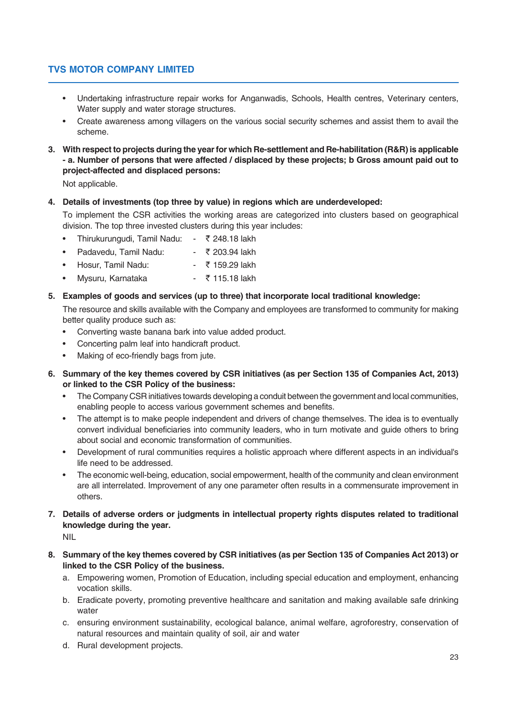- Undertaking infrastructure repair works for Anganwadis, Schools, Health centres, Veterinary centers, Water supply and water storage structures.
- Create awareness among villagers on the various social security schemes and assist them to avail the scheme.
- **3. With respect to projects during the year for which Re-settlement and Re-habilitation (R&R) is applicable - a. Number of persons that were affected / displaced by these projects; b Gross amount paid out to project-affected and displaced persons:**

Not applicable.

## **4. Details of investments (top three by value) in regions which are underdeveloped:**

To implement the CSR activities the working areas are categorized into clusters based on geographical division. The top three invested clusters during this year includes:

- Thirukurungudi, Tamil Nadu: \$ 248.18 lakh
- Padavedu, Tamil Nadu:  $\overline{z}$  203.94 lakh
- Hosur, Tamil Nadu:  $\overline{z}$  159.29 lakh
- Mysuru, Karnataka  $\bullet$   $\overline{z}$  115.18 lakh

## **5. Examples of goods and services (up to three) that incorporate local traditional knowledge:**

The resource and skills available with the Company and employees are transformed to community for making better quality produce such as:

- Converting waste banana bark into value added product.
- Concerting palm leaf into handicraft product.
- Making of eco-friendly bags from jute.
- **6. Summary of the key themes covered by CSR initiatives (as per Section 135 of Companies Act, 2013) or linked to the CSR Policy of the business:**
	- The Company CSR initiatives towards developing a conduit between the government and local communities, enabling people to access various government schemes and benefits.
	- The attempt is to make people independent and drivers of change themselves. The idea is to eventually convert individual beneficiaries into community leaders, who in turn motivate and guide others to bring about social and economic transformation of communities.
	- Development of rural communities requires a holistic approach where different aspects in an individual's life need to be addressed.
	- The economic well-being, education, social empowerment, health of the community and clean environment are all interrelated. Improvement of any one parameter often results in a commensurate improvement in others.
- **7. Details of adverse orders or judgments in intellectual property rights disputes related to traditional knowledge during the year.**

NIL

- **8. Summary of the key themes covered by CSR initiatives (as per Section 135 of Companies Act 2013) or linked to the CSR Policy of the business.**
	- a. Empowering women, Promotion of Education, including special education and employment, enhancing vocation skills.
	- b. Eradicate poverty, promoting preventive healthcare and sanitation and making available safe drinking water
	- c. ensuring environment sustainability, ecological balance, animal welfare, agroforestry, conservation of natural resources and maintain quality of soil, air and water
	- d. Rural development projects.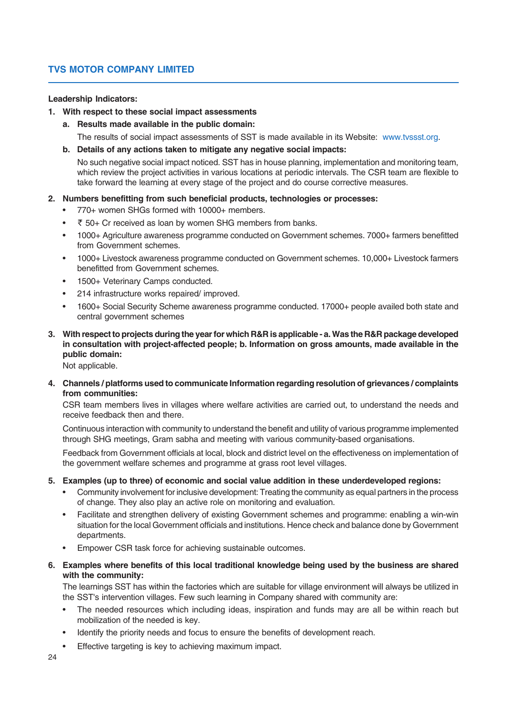# **Leadership Indicators:**

## **1. With respect to these social impact assessments**

**a. Results made available in the public domain:**

The results of social impact assessments of SST is made available in its Website: www.tvssst.org.

**b. Details of any actions taken to mitigate any negative social impacts:**

No such negative social impact noticed. SST has in house planning, implementation and monitoring team, which review the project activities in various locations at periodic intervals. The CSR team are flexible to take forward the learning at every stage of the project and do course corrective measures.

## **2. Numbers benefitting from such beneficial products, technologies or processes:**

- 770+ women SHGs formed with 10000+ members.
- $\bar{\tau}$  50+ Cr received as loan by women SHG members from banks.
- 1000+ Agriculture awareness programme conducted on Government schemes. 7000+ farmers benefitted from Government schemes.
- 1000+ Livestock awareness programme conducted on Government schemes. 10,000+ Livestock farmers benefitted from Government schemes.
- 1500+ Veterinary Camps conducted.
- 214 infrastructure works repaired/ improved.
- 1600+ Social Security Scheme awareness programme conducted. 17000+ people availed both state and central government schemes
- **3. With respect to projects during the year for which R&R is applicable a. Was the R&R package developed in consultation with project-affected people; b. Information on gross amounts, made available in the public domain:**

Not applicable.

**4. Channels / platforms used to communicate Information regarding resolution of grievances / complaints from communities:**

CSR team members lives in villages where welfare activities are carried out, to understand the needs and receive feedback then and there.

Continuous interaction with community to understand the benefit and utility of various programme implemented through SHG meetings, Gram sabha and meeting with various community-based organisations.

Feedback from Government officials at local, block and district level on the effectiveness on implementation of the government welfare schemes and programme at grass root level villages.

#### **5. Examples (up to three) of economic and social value addition in these underdeveloped regions:**

- Community involvement for inclusive development: Treating the community as equal partners in the process of change. They also play an active role on monitoring and evaluation.
- Facilitate and strengthen delivery of existing Government schemes and programme: enabling a win-win situation for the local Government officials and institutions. Hence check and balance done by Government departments.
- Empower CSR task force for achieving sustainable outcomes.
- **6. Examples where benefits of this local traditional knowledge being used by the business are shared with the community:**

The learnings SST has within the factories which are suitable for village environment will always be utilized in the SST's intervention villages. Few such learning in Company shared with community are:

- The needed resources which including ideas, inspiration and funds may are all be within reach but mobilization of the needed is key.
- Identify the priority needs and focus to ensure the benefits of development reach.
- Effective targeting is key to achieving maximum impact.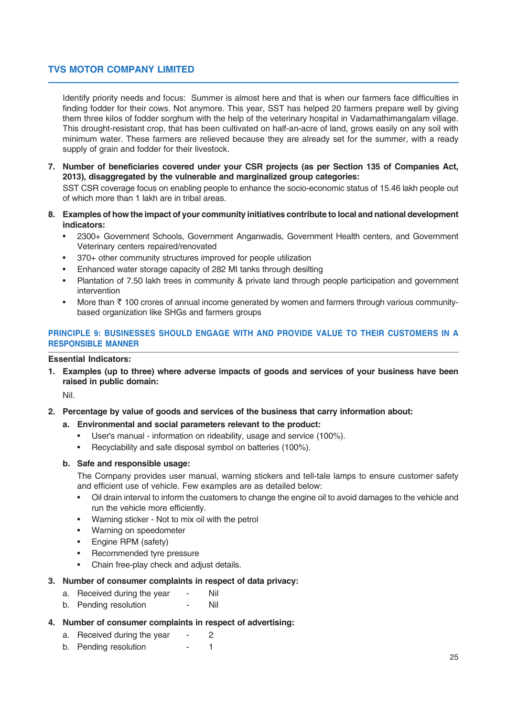Identify priority needs and focus: Summer is almost here and that is when our farmers face difficulties in finding fodder for their cows. Not anymore. This year, SST has helped 20 farmers prepare well by giving them three kilos of fodder sorghum with the help of the veterinary hospital in Vadamathimangalam village. This drought-resistant crop, that has been cultivated on half-an-acre of land, grows easily on any soil with minimum water. These farmers are relieved because they are already set for the summer, with a ready supply of grain and fodder for their livestock.

**7. Number of beneficiaries covered under your CSR projects (as per Section 135 of Companies Act, 2013), disaggregated by the vulnerable and marginalized group categories:**

SST CSR coverage focus on enabling people to enhance the socio-economic status of 15.46 lakh people out of which more than 1 lakh are in tribal areas.

- **8. Examples of how the impact of your community initiatives contribute to local and national development indicators:**
	- 2300+ Government Schools, Government Anganwadis, Government Health centers, and Government Veterinary centers repaired/renovated
	- 370+ other community structures improved for people utilization
	- Enhanced water storage capacity of 282 MI tanks through desilting
	- Plantation of 7.50 lakh trees in community & private land through people participation and government intervention
	- More than  $\bar{\tau}$  100 crores of annual income generated by women and farmers through various communitybased organization like SHGs and farmers groups

# **PRINCIPLE 9: BUSINESSES SHOULD ENGAGE WITH AND PROVIDE VALUE TO THEIR CUSTOMERS IN A RESPONSIBLE MANNER**

## **Essential Indicators:**

**1. Examples (up to three) where adverse impacts of goods and services of your business have been raised in public domain:**

Nil.

**2. Percentage by value of goods and services of the business that carry information about:**

#### **a. Environmental and social parameters relevant to the product:**

- User's manual information on rideability, usage and service (100%).
- Recyclability and safe disposal symbol on batteries (100%).

## **b. Safe and responsible usage:**

The Company provides user manual, warning stickers and tell-tale lamps to ensure customer safety and efficient use of vehicle. Few examples are as detailed below:

- Oil drain interval to inform the customers to change the engine oil to avoid damages to the vehicle and run the vehicle more efficiently.
- Warning sticker Not to mix oil with the petrol
- Warning on speedometer
- Engine RPM (safety)
- Recommended tyre pressure
- Chain free-play check and adjust details.

# **3. Number of consumer complaints in respect of data privacy:**

- a. Received during the year Nil
- b. Pending resolution Nil
- **4. Number of consumer complaints in respect of advertising:**
	- a. Received during the year 2
	- b. Pending resolution 1